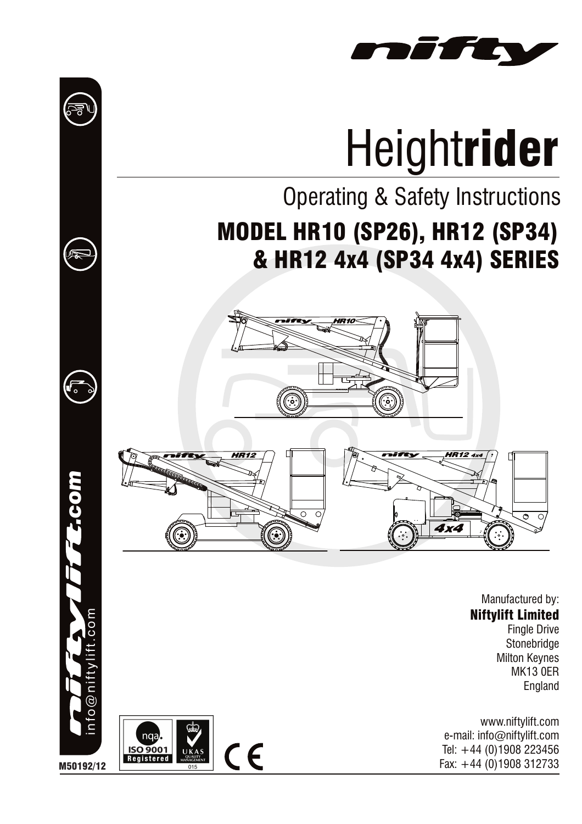

# **Heightrider**

# Operating & Safety Instructions MODEL HR10 (SP26), HR12 (SP34) & HR12 4x4 (SP34 4x4) SERIES





Manufactured by: Niftylift Limited Fingle Drive **Stonebridge** 

Milton Keynes MK13 0ER England

www.niftylift.com e-mail: info@niftylift.com Tel: +44 (0)1908 223456





*.com*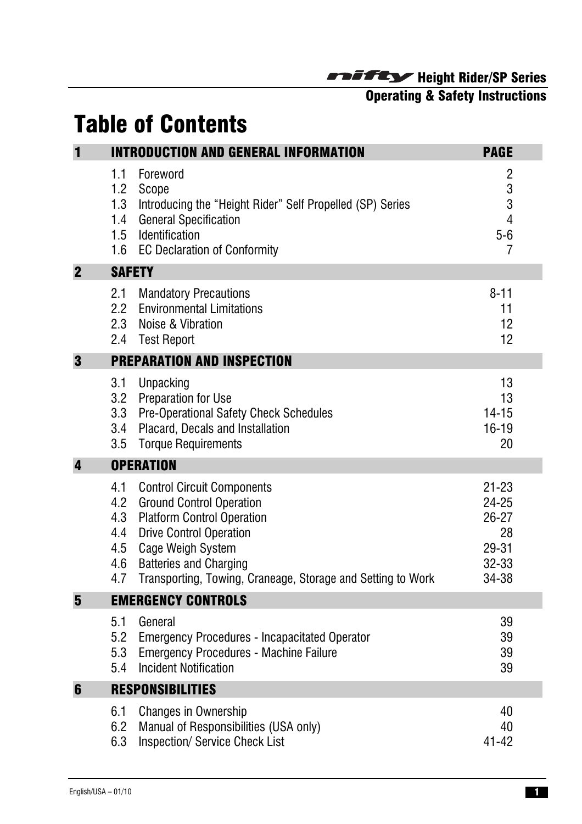# Operating & Safety Instructions

# Table of Contents

| $\blacksquare$ |                                        | <b>INTRODUCTION AND GENERAL INFORMATION</b>                                                                                                                                                                                                                   | <b>PAGE</b>                                                      |
|----------------|----------------------------------------|---------------------------------------------------------------------------------------------------------------------------------------------------------------------------------------------------------------------------------------------------------------|------------------------------------------------------------------|
|                | 1.1<br>1.2<br>1.3<br>1.4<br>1.5        | Foreword<br>Scope<br>Introducing the "Height Rider" Self Propelled (SP) Series<br><b>General Specification</b><br>Identification<br>1.6 EC Declaration of Conformity                                                                                          | 2<br>3<br>3<br>$\overline{4}$<br>$5-6$<br>7                      |
| $\mathbf 2$    | <b>SAFETY</b>                          |                                                                                                                                                                                                                                                               |                                                                  |
|                | 2.1<br>2.2<br>2.3<br>2.4               | <b>Mandatory Precautions</b><br><b>Environmental Limitations</b><br>Noise & Vibration<br><b>Test Report</b>                                                                                                                                                   | $8 - 11$<br>11<br>12<br>12                                       |
| 3              |                                        | <b>PREPARATION AND INSPECTION</b>                                                                                                                                                                                                                             |                                                                  |
|                | 3.1<br>3.2<br>3.3<br>3.4<br>3.5        | Unpacking<br><b>Preparation for Use</b><br><b>Pre-Operational Safety Check Schedules</b><br>Placard, Decals and Installation<br><b>Torque Requirements</b>                                                                                                    | 13<br>13<br>$14 - 15$<br>$16 - 19$<br>20                         |
| 4              |                                        | <b>OPERATION</b>                                                                                                                                                                                                                                              |                                                                  |
|                | 4.1<br>4.2<br>4.3<br>4.4<br>4.5<br>4.7 | <b>Control Circuit Components</b><br><b>Ground Control Operation</b><br><b>Platform Control Operation</b><br><b>Drive Control Operation</b><br>Cage Weigh System<br>4.6 Batteries and Charging<br>Transporting, Towing, Craneage, Storage and Setting to Work | $21 - 23$<br>24-25<br>$26 - 27$<br>28<br>29-31<br>32-33<br>34-38 |
| $5\phantom{1}$ |                                        | <b>EMERGENCY CONTROLS</b>                                                                                                                                                                                                                                     |                                                                  |
|                | 5.1<br>5.2<br>5.3<br>5.4               | General<br><b>Emergency Procedures - Incapacitated Operator</b><br><b>Emergency Procedures - Machine Failure</b><br><b>Incident Notification</b>                                                                                                              | 39<br>39<br>39<br>39                                             |
| 6              |                                        | <b>RESPONSIBILITIES</b>                                                                                                                                                                                                                                       |                                                                  |
|                | 6.1<br>6.2<br>6.3                      | <b>Changes in Ownership</b><br>Manual of Responsibilities (USA only)<br><b>Inspection/ Service Check List</b>                                                                                                                                                 | 40<br>40<br>$41 - 42$                                            |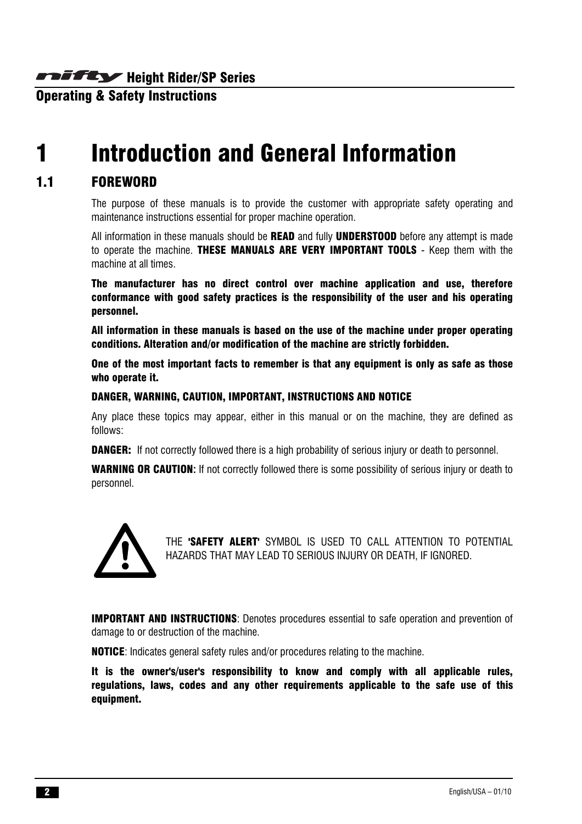Operating & Safety Instructions

# 1 Introduction and General Information

### 1.1 FOREWORD

The purpose of these manuals is to provide the customer with appropriate safety operating and maintenance instructions essential for proper machine operation.

All information in these manuals should be **READ** and fully **UNDERSTOOD** before any attempt is made to operate the machine. THESE MANUALS ARE VERY IMPORTANT TOOLS - Keep them with the machine at all times.

The manufacturer has no direct control over machine application and use, therefore conformance with good safety practices is the responsibility of the user and his operating personnel.

All information in these manuals is based on the use of the machine under proper operating conditions. Alteration and/or modification of the machine are strictly forbidden.

One of the most important facts to remember is that any equipment is only as safe as those who operate it.

#### DANGER, WARNING, CAUTION, IMPORTANT, INSTRUCTIONS AND NOTICE

Any place these topics may appear, either in this manual or on the machine, they are defined as follows:

**DANGER:** If not correctly followed there is a high probability of serious injury or death to personnel.

WARNING OR CAUTION**:** If not correctly followed there is some possibility of serious injury or death to personnel.



THE 'SAFETY ALERT' SYMBOL IS USED TO CALL ATTENTION TO POTENTIAL HAZARDS THAT MAY LEAD TO SERIOUS INJURY OR DEATH, IF IGNORED.

IMPORTANT AND INSTRUCTIONS: Denotes procedures essential to safe operation and prevention of damage to or destruction of the machine.

NOTICE: Indicates general safety rules and/or procedures relating to the machine.

It is the owner's/user's responsibility to know and comply with all applicable rules, regulations, laws, codes and any other requirements applicable to the safe use of this equipment.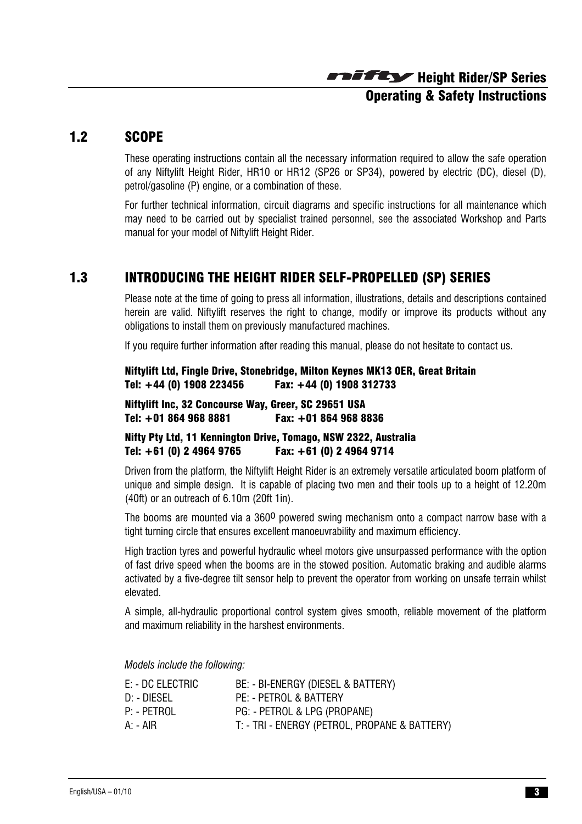# Height Rider/SP Series Operating & Safety Instructions

#### 1.2 SCOPE

These operating instructions contain all the necessary information required to allow the safe operation of any Niftylift Height Rider, HR10 or HR12 (SP26 or SP34), powered by electric (DC), diesel (D), petrol/gasoline (P) engine, or a combination of these.

For further technical information, circuit diagrams and specific instructions for all maintenance which may need to be carried out by specialist trained personnel, see the associated Workshop and Parts manual for your model of Niftylift Height Rider.

# 1.3 INTRODUCING THE HEIGHT RIDER SELF-PROPELLED (SP) SERIES

Please note at the time of going to press all information, illustrations, details and descriptions contained herein are valid. Niftylift reserves the right to change, modify or improve its products without any obligations to install them on previously manufactured machines.

If you require further information after reading this manual, please do not hesitate to contact us.

Niftylift Ltd, Fingle Drive, Stonebridge, Milton Keynes MK13 0ER, Great Britain Tel: +44 (0) 1908 223456 Fax: +44 (0) 1908 312733

Niftylift Inc, 32 Concourse Way, Greer, SC 29651 USA Tel: +01 864 968 8881 Fax: +01 864 968 8836

#### Nifty Pty Ltd, 11 Kennington Drive, Tomago, NSW 2322, Australia Tel: +61 (0) 2 4964 9765 Fax: +61 (0) 2 4964 9714

Driven from the platform, the Niftylift Height Rider is an extremely versatile articulated boom platform of unique and simple design. It is capable of placing two men and their tools up to a height of 12.20m (40ft) or an outreach of 6.10m (20ft 1in).

The booms are mounted via a 360<sup>0</sup> powered swing mechanism onto a compact narrow base with a tight turning circle that ensures excellent manoeuvrability and maximum efficiency.

High traction tyres and powerful hydraulic wheel motors give unsurpassed performance with the option of fast drive speed when the booms are in the stowed position. Automatic braking and audible alarms activated by a five-degree tilt sensor help to prevent the operator from working on unsafe terrain whilst elevated.

A simple, all-hydraulic proportional control system gives smooth, reliable movement of the platform and maximum reliability in the harshest environments.

*Models include the following:* 

| E: - DC ELECTRIC | BE: - BI-ENERGY (DIESEL & BATTERY)            |
|------------------|-----------------------------------------------|
| D: - DIESEL      | PE: - PETROL & BATTERY                        |
| P: - PETROL      | PG: - PETROL & LPG (PROPANE)                  |
| A: - AIR         | T: - TRI - ENERGY (PETROL, PROPANE & BATTERY) |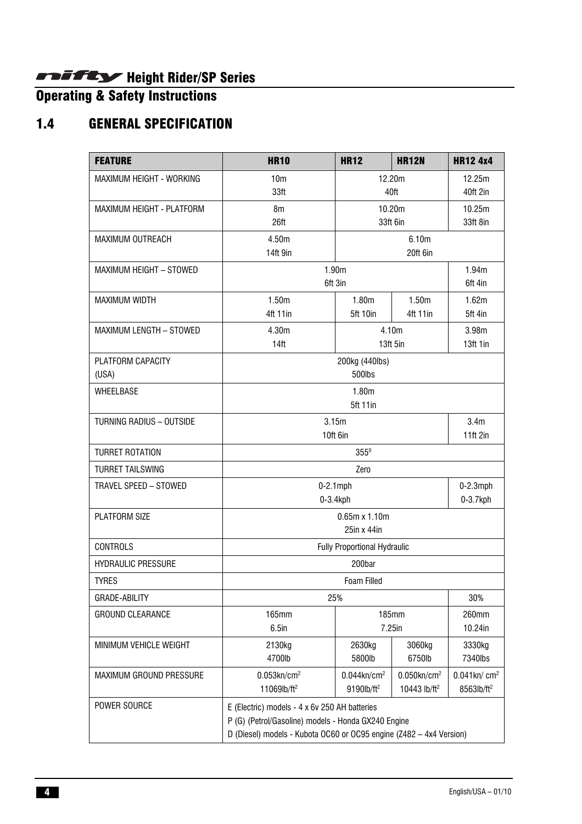#### Operating & Safety Instructions

# 1.4 GENERAL SPECIFICATION

| <b>FEATURE</b>                  | <b>HR10</b>                                                         | <b>HR12</b>                          | <b>HR12N</b>               | <b>HR12 4x4</b>        |  |
|---------------------------------|---------------------------------------------------------------------|--------------------------------------|----------------------------|------------------------|--|
| MAXIMUM HEIGHT - WORKING        | 10 <sub>m</sub>                                                     | 12.20m                               |                            | 12.25m                 |  |
|                                 | 33ft                                                                | 40ft                                 |                            | 40ft 2in               |  |
| MAXIMUM HEIGHT - PLATFORM       | 8m                                                                  |                                      | 10.20m                     | 10.25m<br>33ft 8in     |  |
|                                 | 26ft                                                                |                                      | 33ft 6in                   |                        |  |
| MAXIMUM OUTREACH                | 4.50m<br>6.10m                                                      |                                      |                            |                        |  |
|                                 | 14ft 9in<br>20ft 6in                                                |                                      |                            |                        |  |
| MAXIMUM HEIGHT - STOWED         |                                                                     | 1.90m<br>1.94m<br>6ft 3in<br>6ft 4in |                            |                        |  |
| <b>MAXIMUM WIDTH</b>            | 1.50m                                                               | 1.80m                                | 1.50m                      | 1.62m                  |  |
|                                 | 4ft 11in                                                            | <b>5ft 10in</b>                      | 4ft 11in                   | 5ft 4in                |  |
| MAXIMUM LENGTH - STOWED         | 4.30m                                                               |                                      | 4.10m                      | 3.98 <sub>m</sub>      |  |
|                                 | 14 <sup>ft</sup>                                                    |                                      | 13ft 5in                   | 13ft 1in               |  |
| PLATFORM CAPACITY               |                                                                     | 200kg (440lbs)                       |                            |                        |  |
| (USA)                           |                                                                     | 500lbs                               |                            |                        |  |
| WHEELBASE                       |                                                                     | 1.80m                                |                            |                        |  |
|                                 |                                                                     | <b>5ft 11in</b>                      |                            |                        |  |
| <b>TURNING RADIUS - OUTSIDE</b> | 3.15m                                                               |                                      |                            | 3.4 <sub>m</sub>       |  |
|                                 | 10ft 6in                                                            |                                      | 11ft 2in                   |                        |  |
| <b>TURRET ROTATION</b>          | $355^0$                                                             |                                      |                            |                        |  |
| <b>TURRET TAILSWING</b>         | Zero                                                                |                                      |                            |                        |  |
| TRAVEL SPEED - STOWED           |                                                                     | $0-2.1$ mph                          |                            | $0-2.3$ mph            |  |
|                                 |                                                                     | 0-3.4kph                             |                            | $0-3.7$ kph            |  |
| PLATFORM SIZE                   | $0.65m \times 1.10m$<br>25in x 44in                                 |                                      |                            |                        |  |
| <b>CONTROLS</b>                 |                                                                     |                                      |                            |                        |  |
|                                 | Fully Proportional Hydraulic                                        |                                      |                            |                        |  |
| <b>HYDRAULIC PRESSURE</b>       | 200bar                                                              |                                      |                            |                        |  |
| <b>TYRES</b>                    |                                                                     | <b>Foam Filled</b>                   |                            |                        |  |
| GRADE-ABILITY                   |                                                                     | 25%                                  |                            | 30%                    |  |
| <b>GROUND CLEARANCE</b>         | <b>165mm</b><br>185mm<br>7.25in<br>$6.5$ in                         |                                      | 260mm<br>10.24in           |                        |  |
| MINIMUM VEHICLE WEIGHT          |                                                                     |                                      |                            |                        |  |
|                                 | 2130kg<br>4700lb                                                    | 2630kg<br>5800lb                     | 3060kg<br>6750lb           | 3330kg<br>7340lbs      |  |
| <b>MAXIMUM GROUND PRESSURE</b>  | $0.053$ kn/cm <sup>2</sup>                                          | $0.044$ kn/cm <sup>2</sup>           | $0.050$ kn/cm <sup>2</sup> | $0.041$ kn/ $cm2$      |  |
|                                 | 11069lb/ft <sup>2</sup>                                             | 9190lb/ft <sup>2</sup>               | 10443 lb/ft <sup>2</sup>   | 8563lb/ft <sup>2</sup> |  |
| POWER SOURCE                    | E (Electric) models - 4 x 6v 250 AH batteries                       |                                      |                            |                        |  |
|                                 | P (G) (Petrol/Gasoline) models - Honda GX240 Engine                 |                                      |                            |                        |  |
|                                 | D (Diesel) models - Kubota OC60 or OC95 engine (Z482 - 4x4 Version) |                                      |                            |                        |  |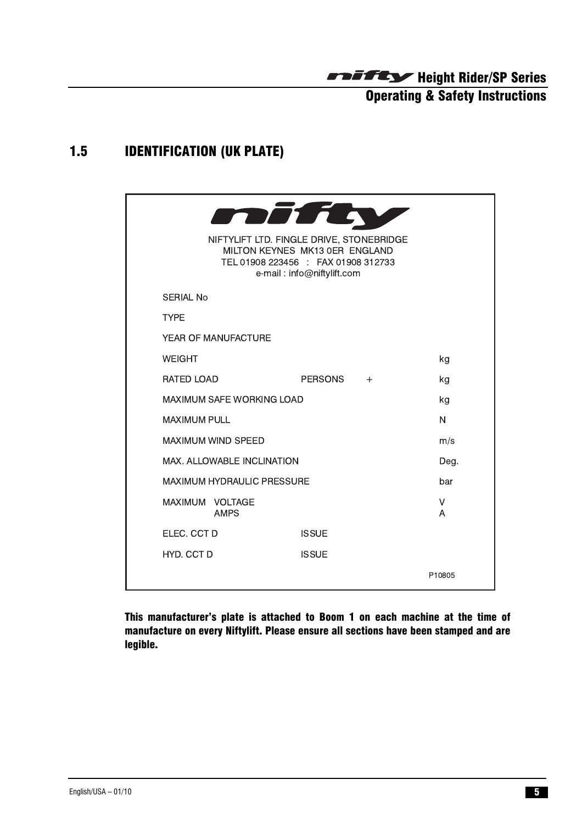# 1.5 IDENTIFICATION (UK PLATE)

|                                   | mirt                                                                                                                                            |        |
|-----------------------------------|-------------------------------------------------------------------------------------------------------------------------------------------------|--------|
|                                   | NIFTYLIFT LTD. FINGLE DRIVE, STONEBRIDGE<br>MILTON KEYNES MK13 0ER ENGLAND<br>TEL 01908 223456 : FAX 01908 312733<br>e-mail: info@niftylift.com |        |
| <b>SERIAL No</b>                  |                                                                                                                                                 |        |
| <b>TYPE</b>                       |                                                                                                                                                 |        |
| YEAR OF MANUFACTURE               |                                                                                                                                                 |        |
| <b>WEIGHT</b>                     |                                                                                                                                                 | kg     |
| RATED LOAD                        | <b>PERSONS</b><br>$+$                                                                                                                           | kg     |
| <b>MAXIMUM SAFE WORKING LOAD</b>  |                                                                                                                                                 | kg     |
| <b>MAXIMUM PULL</b>               |                                                                                                                                                 | N      |
| <b>MAXIMUM WIND SPEED</b>         |                                                                                                                                                 | m/s    |
| MAX. ALLOWABLE INCLINATION        |                                                                                                                                                 | Deg.   |
| <b>MAXIMUM HYDRAULIC PRESSURE</b> |                                                                                                                                                 | bar    |
| MAXIMUM VOLTAGE<br><b>AMPS</b>    |                                                                                                                                                 | V<br>A |
| ELEC. CCT D                       | <b>ISSUE</b>                                                                                                                                    |        |
| HYD. CCT D                        | <b>ISSUE</b>                                                                                                                                    |        |
|                                   |                                                                                                                                                 | P10805 |

This manufacturer's plate is attached to Boom 1 on each machine at the time of manufacture on every Niftylift. Please ensure all sections have been stamped and are legible.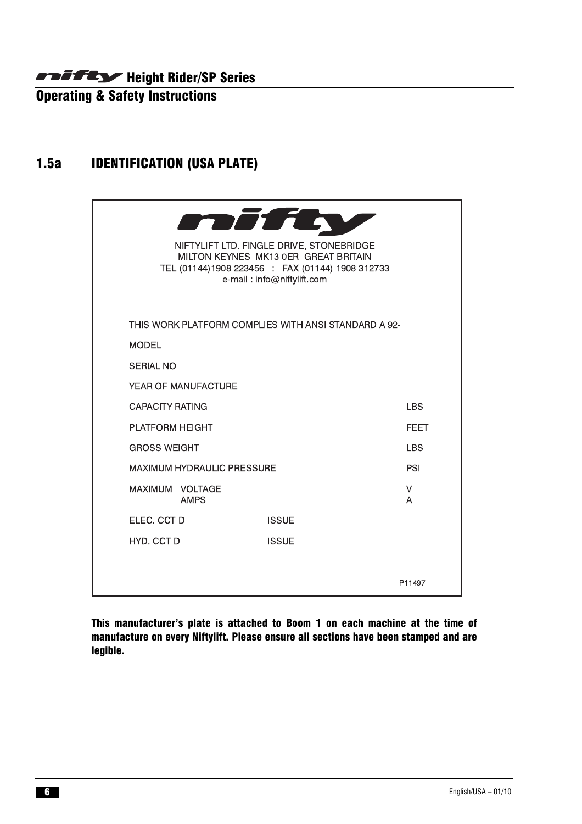Operating & Safety Instructions

# 1.5a IDENTIFICATION (USA PLATE)



This manufacturer's plate is attached to Boom 1 on each machine at the time of manufacture on every Niftylift. Please ensure all sections have been stamped and are legible.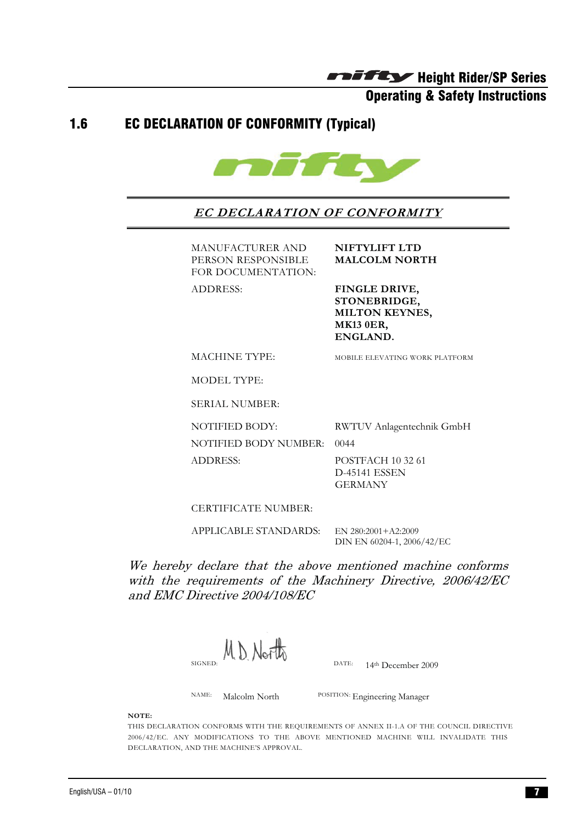Operating & Safety Instructions

#### 1.6 EC DECLARATION OF CONFORMITY (Typical)



**EC DECLARATION OF CONFORMITY**

MANUFACTURER AND **NIFTYLIFT LTD**<br>**PERSON RESPONSIBLE MALCOLM NORTH PERSON RESPONSIBLE<br>FOR DOCUMENTATION:** FOR DOCUMENTATION:<br>DOCUMENTA

ADDRESS: **FINGLE DRIVE, STONEBRIDGE, MILTON KEYNES, MK13 0ER, ENGLAND.**

MACHINE TYPE: MOBILE ELEVATING WORK PLATFORM

**SERIAL NUMBER:** SERIAL NUMBER:

NOTIFIED BODY: RWTUV Anlagentechnik GmbH<br>NOTIFIED BODY NUMBER: 0044

NOTIFIED BODY NUMBER: 0044

ADDRESS: POSTFACH 10 32 61<br>D-45141 ESSEN **GERMANY** GERMANY

CERTIFICATE NUMBER:

APPLICABLE STANDARDS: EN 280:2001+A2:2009<br>DIN EN 60204-1, 2006/42/EC  $\frac{1}{2}$ 

We hereby declare that the above mentioned machine conforms with the requirements of the Machinery Directive, 2006/42/EC and EMC Directive 2004/108/EC

MD North

DATE.  $I + 1$  December 2009

NAME: Malcolm North POSITION: Engineering Manager

**NOTE:** 

THIS DECLARATION CONFORMS WITH THE REQUIREMENTS OF ANNEX II-1.A OF THE COUNCIL DIRECTIVE 2006/42/EC. ANY MODIFICATIONS TO THE ABOVE MENTIONED MACHINE WILL INVALIDATE THIS DECLARATION, AND THE MACHINE'S APPROVAL. DECLARATION, AND THE MACHINE'S APPROVAL.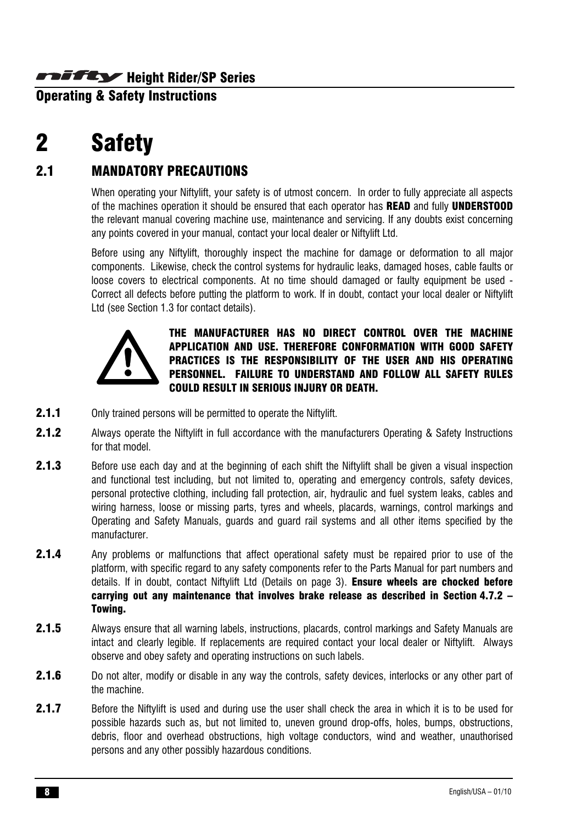**Operating & Safety Instructions** 

# 2 Safety

# 2.1 MANDATORY PRECAUTIONS

When operating your Niftylift, your safety is of utmost concern. In order to fully appreciate all aspects of the machines operation it should be ensured that each operator has READ and fully UNDERSTOOD the relevant manual covering machine use, maintenance and servicing. If any doubts exist concerning any points covered in your manual, contact your local dealer or Niftylift Ltd.

Before using any Niftylift, thoroughly inspect the machine for damage or deformation to all major components. Likewise, check the control systems for hydraulic leaks, damaged hoses, cable faults or loose covers to electrical components. At no time should damaged or faulty equipment be used - Correct all defects before putting the platform to work. If in doubt, contact your local dealer or Niftylift Ltd (see Section 1.3 for contact details).



THE MANUFACTURER HAS NO DIRECT CONTROL OVER THE MACHINE APPLICATION AND USE. THEREFORE CONFORMATION WITH GOOD SAFETY PRACTICES IS THE RESPONSIBILITY OF THE USER AND HIS OPERATING PERSONNEL. FAILURE TO UNDERSTAND AND FOLLOW ALL SAFETY RULES COULD RESULT IN SERIOUS INJURY OR DEATH.

- **2.1.1** Only trained persons will be permitted to operate the Niftylift.
- 2.1.2 Always operate the Niftylift in full accordance with the manufacturers Operating & Safety Instructions for that model.
- 2.1.3 Before use each day and at the beginning of each shift the Niftylift shall be given a visual inspection and functional test including, but not limited to, operating and emergency controls, safety devices, personal protective clothing, including fall protection, air, hydraulic and fuel system leaks, cables and wiring harness, loose or missing parts, tyres and wheels, placards, warnings, control markings and Operating and Safety Manuals, guards and guard rail systems and all other items specified by the manufacturer.
- 2.1.4 Any problems or malfunctions that affect operational safety must be repaired prior to use of the platform, with specific regard to any safety components refer to the Parts Manual for part numbers and details. If in doubt, contact Niftylift Ltd (Details on page 3). **Ensure wheels are chocked before** carrying out any maintenance that involves brake release as described in Section 4.7.2 – Towing.
- 2.1.5 Always ensure that all warning labels, instructions, placards, control markings and Safety Manuals are intact and clearly legible. If replacements are required contact your local dealer or Niftylift. Always observe and obey safety and operating instructions on such labels.
- 2.1.6 Do not alter, modify or disable in any way the controls, safety devices, interlocks or any other part of the machine.
- 2.1.7 Before the Niftylift is used and during use the user shall check the area in which it is to be used for possible hazards such as, but not limited to, uneven ground drop-offs, holes, bumps, obstructions, debris, floor and overhead obstructions, high voltage conductors, wind and weather, unauthorised persons and any other possibly hazardous conditions.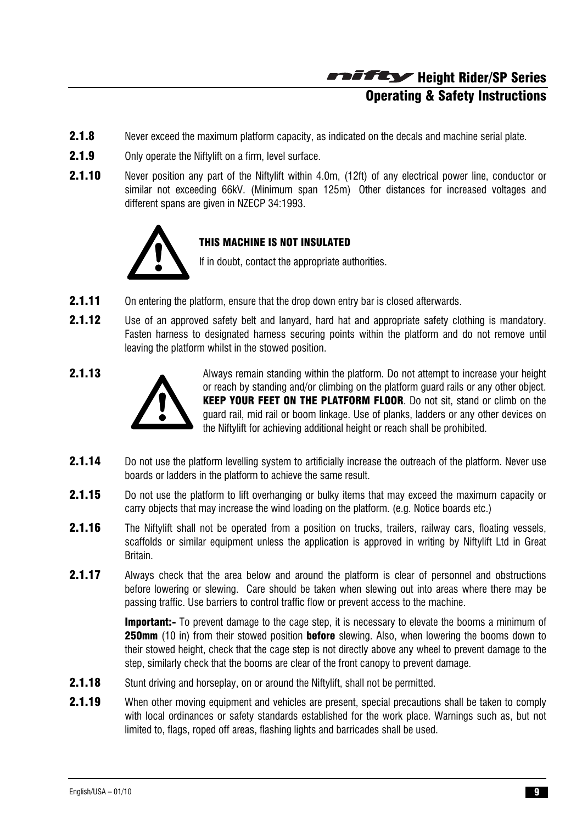# Height Rider/SP Series Operating & Safety Instructions

- **2.1.8** Never exceed the maximum platform capacity, as indicated on the decals and machine serial plate.
- 2.1.9 Only operate the Niftylift on a firm, level surface.
- 2.1.10 Never position any part of the Niftylift within 4.0m, (12ft) of any electrical power line, conductor or similar not exceeding 66kV. (Minimum span 125m) Other distances for increased voltages and different spans are given in NZECP 34:1993.



#### THIS MACHINE IS NOT INSULATED

If in doubt, contact the appropriate authorities.

- **2.1.11** On entering the platform, ensure that the drop down entry bar is closed afterwards.
- 2.1.12 Use of an approved safety belt and lanyard, hard hat and appropriate safety clothing is mandatory. Fasten harness to designated harness securing points within the platform and do not remove until leaving the platform whilst in the stowed position.



2.1.13 Always remain standing within the platform. Do not attempt to increase your height or reach by standing and/or climbing on the platform guard rails or any other object. KEEP YOUR FEET ON THE PLATFORM FLOOR. Do not sit, stand or climb on the guard rail, mid rail or boom linkage. Use of planks, ladders or any other devices on the Niftylift for achieving additional height or reach shall be prohibited.

- 2.1.14 Do not use the platform levelling system to artificially increase the outreach of the platform. Never use boards or ladders in the platform to achieve the same result.
- **2.1.15** Do not use the platform to lift overhanging or bulky items that may exceed the maximum capacity or carry objects that may increase the wind loading on the platform. (e.g. Notice boards etc.)
- 2.1.16 The Niftylift shall not be operated from a position on trucks, trailers, railway cars, floating vessels, scaffolds or similar equipment unless the application is approved in writing by Niftylift Ltd in Great Britain.
- 2.1.17 Always check that the area below and around the platform is clear of personnel and obstructions before lowering or slewing. Care should be taken when slewing out into areas where there may be passing traffic. Use barriers to control traffic flow or prevent access to the machine.

**Important:-** To prevent damage to the cage step, it is necessary to elevate the booms a minimum of **250mm** (10 in) from their stowed position **before** slewing. Also, when lowering the booms down to their stowed height, check that the cage step is not directly above any wheel to prevent damage to the step, similarly check that the booms are clear of the front canopy to prevent damage.

- **2.1.18** Stunt driving and horseplay, on or around the Niftylift, shall not be permitted.
- 2.1.19 When other moving equipment and vehicles are present, special precautions shall be taken to comply with local ordinances or safety standards established for the work place. Warnings such as, but not limited to, flags, roped off areas, flashing lights and barricades shall be used.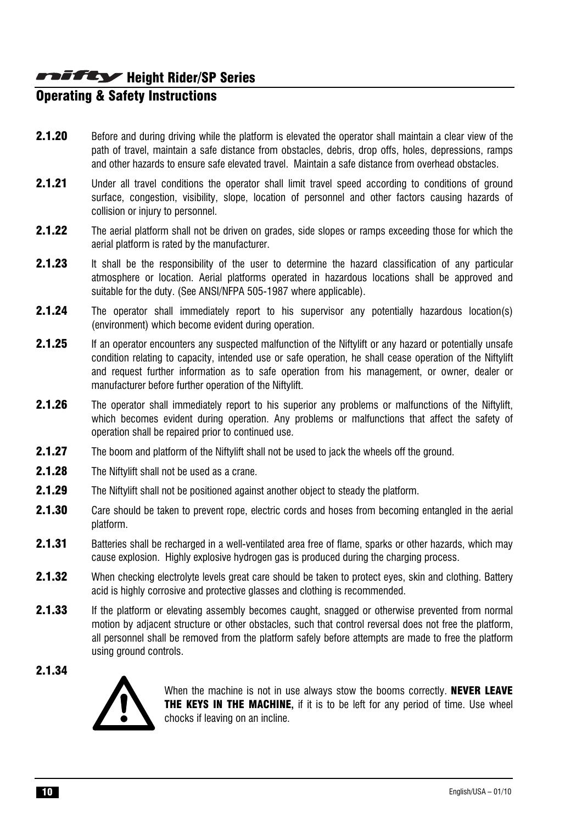# **Operating & Safety Instructions**

- 2.1.20 Before and during driving while the platform is elevated the operator shall maintain a clear view of the path of travel, maintain a safe distance from obstacles, debris, drop offs, holes, depressions, ramps and other hazards to ensure safe elevated travel. Maintain a safe distance from overhead obstacles.
- **2.1.21** Under all travel conditions the operator shall limit travel speed according to conditions of ground surface, congestion, visibility, slope, location of personnel and other factors causing hazards of collision or injury to personnel.
- 2.1.22 The aerial platform shall not be driven on grades, side slopes or ramps exceeding those for which the aerial platform is rated by the manufacturer.
- **2.1.23** It shall be the responsibility of the user to determine the hazard classification of any particular atmosphere or location. Aerial platforms operated in hazardous locations shall be approved and suitable for the duty. (See ANSI/NFPA 505-1987 where applicable).
- **2.1.24** The operator shall immediately report to his supervisor any potentially hazardous location(s) (environment) which become evident during operation.
- 2.1.25 If an operator encounters any suspected malfunction of the Niftylift or any hazard or potentially unsafe condition relating to capacity, intended use or safe operation, he shall cease operation of the Niftylift and request further information as to safe operation from his management, or owner, dealer or manufacturer before further operation of the Niftylift.
- **2.1.26** The operator shall immediately report to his superior any problems or malfunctions of the Niftylift, which becomes evident during operation. Any problems or malfunctions that affect the safety of operation shall be repaired prior to continued use.
- **2.1.27** The boom and platform of the Niftylift shall not be used to jack the wheels off the ground.
- **2.1.28** The Niftylift shall not be used as a crane.
- 2.1.29 The Niftylift shall not be positioned against another object to steady the platform.
- **2.1.30** Care should be taken to prevent rope, electric cords and hoses from becoming entangled in the aerial platform.
- 2.1.31 Batteries shall be recharged in a well-ventilated area free of flame, sparks or other hazards, which may cause explosion. Highly explosive hydrogen gas is produced during the charging process.
- 2.1.32 When checking electrolyte levels great care should be taken to protect eyes, skin and clothing. Battery acid is highly corrosive and protective glasses and clothing is recommended.
- **2.1.33** If the platform or elevating assembly becomes caught, snagged or otherwise prevented from normal motion by adjacent structure or other obstacles, such that control reversal does not free the platform, all personnel shall be removed from the platform safely before attempts are made to free the platform using ground controls.
- 2.1.34



When the machine is not in use always stow the booms correctly. **NEVER LEAVE** THE KEYS IN THE MACHINE**,** if it is to be left for any period of time. Use wheel chocks if leaving on an incline.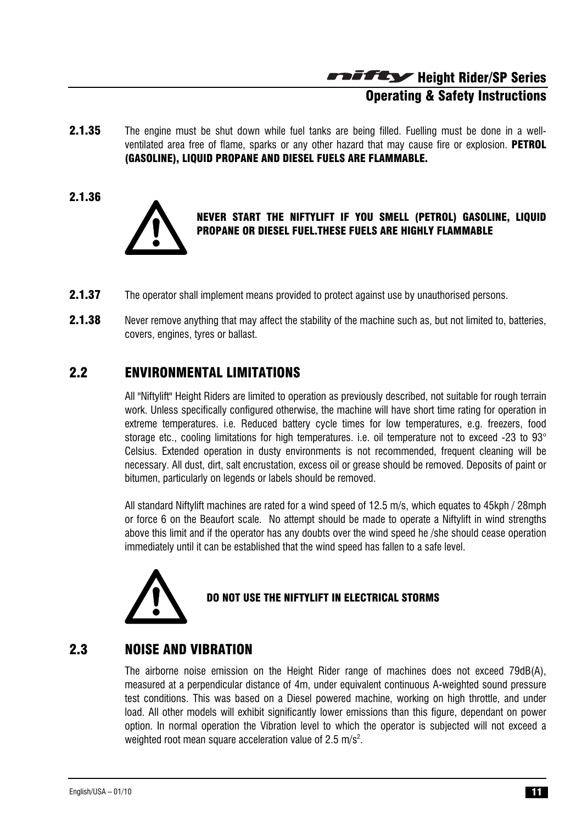Height Rider/SP Series Operating & Safety Instructions

- **2.1.35** The engine must be shut down while fuel tanks are being filled. Fuelling must be done in a wellventilated area free of flame, sparks or any other hazard that may cause fire or explosion. **PETROL** (GASOLINE), LIQUID PROPANE AND DIESEL FUELS ARE FLAMMABLE.
- 2.1.36



#### NEVER START THE NIFTYLIFT IF YOU SMELL (PETROL) GASOLINE, LIQUID PROPANE OR DIESEL FUEL.THESE FUELS ARE HIGHLY FLAMMABLE

- **2.1.37** The operator shall implement means provided to protect against use by unauthorised persons.
- 2.1.38 Never remove anything that may affect the stability of the machine such as, but not limited to, batteries, covers, engines, tyres or ballast.

# 2.2 ENVIRONMENTAL LIMITATIONS

All "Niftylift" Height Riders are limited to operation as previously described, not suitable for rough terrain work. Unless specifically configured otherwise, the machine will have short time rating for operation in extreme temperatures. i.e. Reduced battery cycle times for low temperatures, e.g. freezers, food storage etc., cooling limitations for high temperatures, i.e. oil temperature not to exceed -23 to  $93^\circ$ Celsius. Extended operation in dusty environments is not recommended, frequent cleaning will be necessary. All dust, dirt, salt encrustation, excess oil or grease should be removed. Deposits of paint or bitumen, particularly on legends or labels should be removed.

All standard Niftylift machines are rated for a wind speed of 12.5 m/s, which equates to 45kph / 28mph or force 6 on the Beaufort scale. No attempt should be made to operate a Niftylift in wind strengths above this limit and if the operator has any doubts over the wind speed he /she should cease operation immediately until it can be established that the wind speed has fallen to a safe level.



#### DO NOT USE THE NIFTYLIFT IN ELECTRICAL STORMS

#### 2.3 NOISE AND VIBRATION

The airborne noise emission on the Height Rider range of machines does not exceed 79dB(A), measured at a perpendicular distance of 4m, under equivalent continuous A-weighted sound pressure test conditions. This was based on a Diesel powered machine, working on high throttle, and under load. All other models will exhibit significantly lower emissions than this figure, dependant on power option. In normal operation the Vibration level to which the operator is subjected will not exceed a weighted root mean square acceleration value of 2.5 m/s<sup>2</sup>.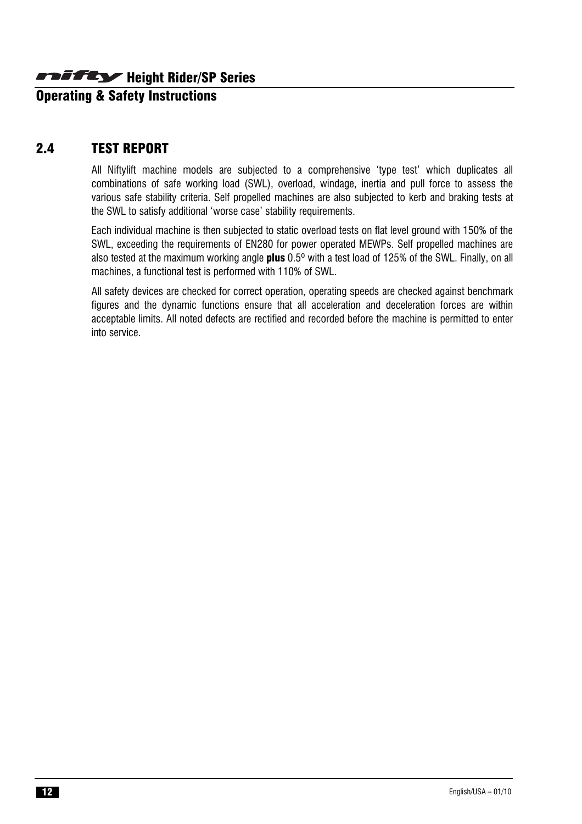**Operating & Safety Instructions** 

#### 2.4 TEST REPORT

All Niftylift machine models are subjected to a comprehensive 'type test' which duplicates all combinations of safe working load (SWL), overload, windage, inertia and pull force to assess the various safe stability criteria. Self propelled machines are also subjected to kerb and braking tests at the SWL to satisfy additional 'worse case' stability requirements.

Each individual machine is then subjected to static overload tests on flat level ground with 150% of the SWL, exceeding the requirements of EN280 for power operated MEWPs. Self propelled machines are also tested at the maximum working angle **plus** 0.5<sup>o</sup> with a test load of 125% of the SWL. Finally, on all machines, a functional test is performed with 110% of SWL.

All safety devices are checked for correct operation, operating speeds are checked against benchmark figures and the dynamic functions ensure that all acceleration and deceleration forces are within acceptable limits. All noted defects are rectified and recorded before the machine is permitted to enter into service.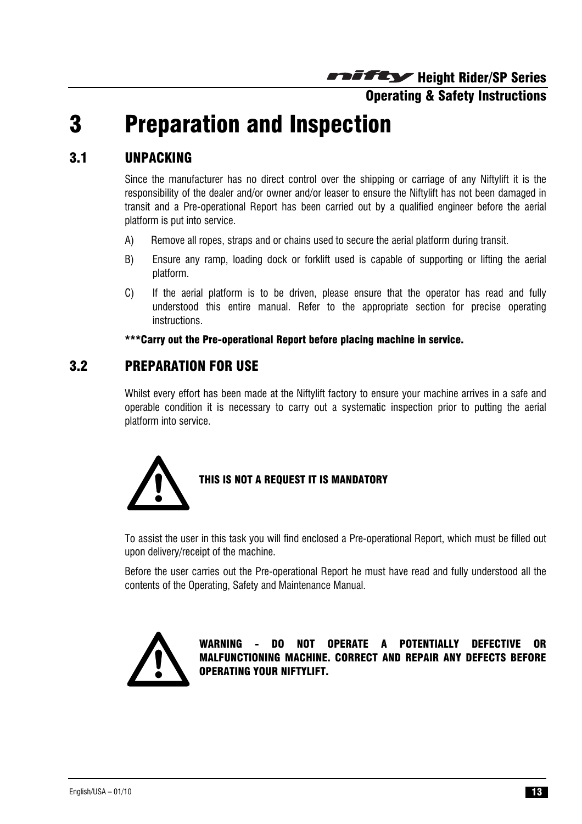#### Operating & Safety Instructions

# 3 Preparation and Inspection

# 3.1 UNPACKING

Since the manufacturer has no direct control over the shipping or carriage of any Niftylift it is the responsibility of the dealer and/or owner and/or leaser to ensure the Niftylift has not been damaged in transit and a Pre-operational Report has been carried out by a qualified engineer before the aerial platform is put into service.

- A) Remove all ropes, straps and or chains used to secure the aerial platform during transit.
- B) Ensure any ramp, loading dock or forklift used is capable of supporting or lifting the aerial platform.
- C) If the aerial platform is to be driven, please ensure that the operator has read and fully understood this entire manual. Refer to the appropriate section for precise operating instructions.

#### \*\*\*Carry out the Pre-operational Report before placing machine in service.

#### 3.2 PREPARATION FOR USE

Whilst every effort has been made at the Niftylift factory to ensure your machine arrives in a safe and operable condition it is necessary to carry out a systematic inspection prior to putting the aerial platform into service.



#### THIS IS NOT A REQUEST IT IS MANDATORY

To assist the user in this task you will find enclosed a Pre-operational Report, which must be filled out upon delivery/receipt of the machine.

Before the user carries out the Pre-operational Report he must have read and fully understood all the contents of the Operating, Safety and Maintenance Manual.



WARNING - DO NOT OPERATE A POTENTIALLY DEFECTIVE OR MALFUNCTIONING MACHINE. CORRECT AND REPAIR ANY DEFECTS BEFORE OPERATING YOUR NIFTYLIFT.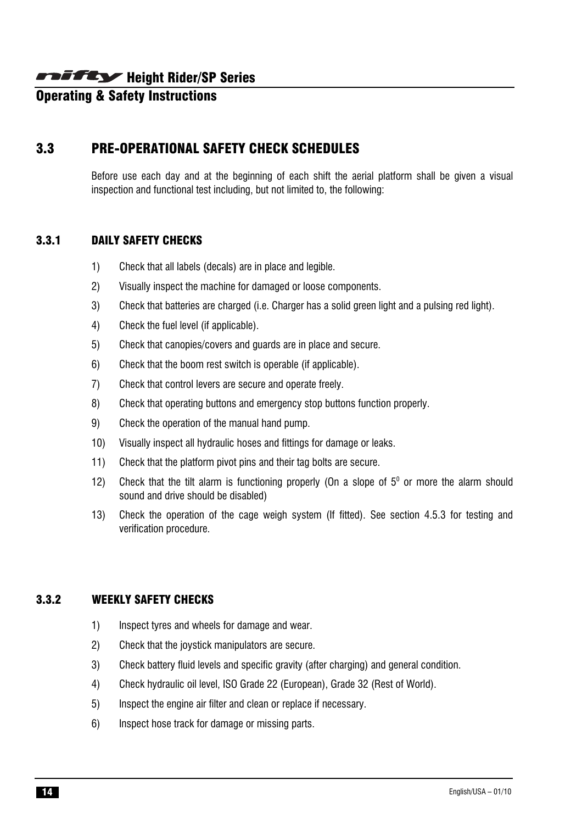# **Operating & Safety Instructions**

# 3.3 PRE-OPERATIONAL SAFETY CHECK SCHEDULES

Before use each day and at the beginning of each shift the aerial platform shall be given a visual inspection and functional test including, but not limited to, the following:

#### 3.3.1 DAILY SAFETY CHECKS

- 1) Check that all labels (decals) are in place and legible.
- 2) Visually inspect the machine for damaged or loose components.
- 3) Check that batteries are charged (i.e. Charger has a solid green light and a pulsing red light).
- 4) Check the fuel level (if applicable).
- 5) Check that canopies/covers and guards are in place and secure.
- 6) Check that the boom rest switch is operable (if applicable).
- 7) Check that control levers are secure and operate freely.
- 8) Check that operating buttons and emergency stop buttons function properly.
- 9) Check the operation of the manual hand pump.
- 10) Visually inspect all hydraulic hoses and fittings for damage or leaks.
- 11) Check that the platform pivot pins and their tag bolts are secure.
- 12) Check that the tilt alarm is functioning properly (On a slope of  $5^{\circ}$  or more the alarm should sound and drive should be disabled)
- 13) Check the operation of the cage weigh system (If fitted). See section 4.5.3 for testing and verification procedure.

#### 3.3.2 WEEKLY SAFETY CHECKS

- 1) Inspect tyres and wheels for damage and wear.
- 2) Check that the joystick manipulators are secure.
- 3) Check battery fluid levels and specific gravity (after charging) and general condition.
- 4) Check hydraulic oil level, ISO Grade 22 (European), Grade 32 (Rest of World).
- 5) Inspect the engine air filter and clean or replace if necessary.
- 6) Inspect hose track for damage or missing parts.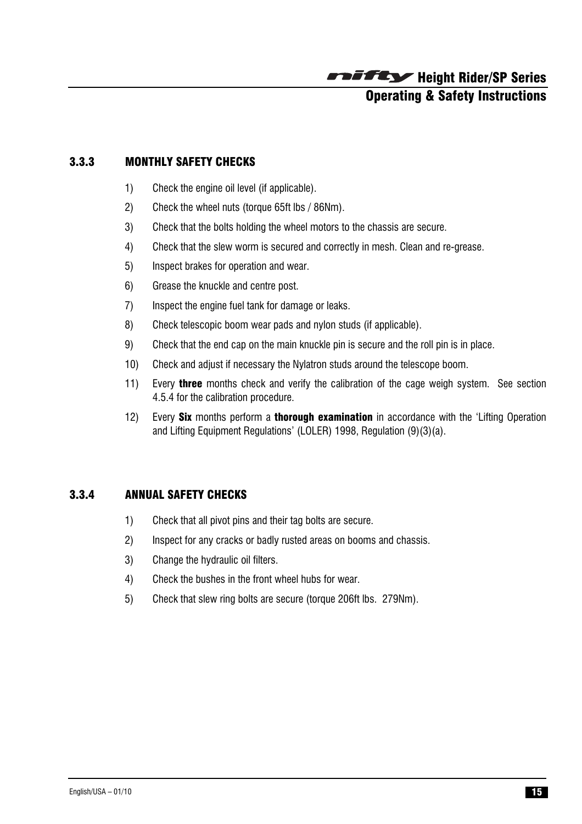

#### 3.3.3 MONTHLY SAFETY CHECKS

- 1) Check the engine oil level (if applicable).
- 2) Check the wheel nuts (torque 65ft lbs / 86Nm).
- 3) Check that the bolts holding the wheel motors to the chassis are secure.
- 4) Check that the slew worm is secured and correctly in mesh. Clean and re-grease.
- 5) Inspect brakes for operation and wear.
- 6) Grease the knuckle and centre post.
- 7) Inspect the engine fuel tank for damage or leaks.
- 8) Check telescopic boom wear pads and nylon studs (if applicable).
- 9) Check that the end cap on the main knuckle pin is secure and the roll pin is in place.
- 10) Check and adjust if necessary the Nylatron studs around the telescope boom.
- 11) Every **three** months check and verify the calibration of the cage weigh system. See section 4.5.4 for the calibration procedure.
- 12) Every **Six** months perform a **thorough examination** in accordance with the 'Lifting Operation and Lifting Equipment Regulations' (LOLER) 1998, Regulation (9)(3)(a).

#### 3.3.4 ANNUAL SAFETY CHECKS

- 1) Check that all pivot pins and their tag bolts are secure.
- 2) Inspect for any cracks or badly rusted areas on booms and chassis.
- 3) Change the hydraulic oil filters.
- 4) Check the bushes in the front wheel hubs for wear.
- 5) Check that slew ring bolts are secure (torque 206ft lbs. 279Nm).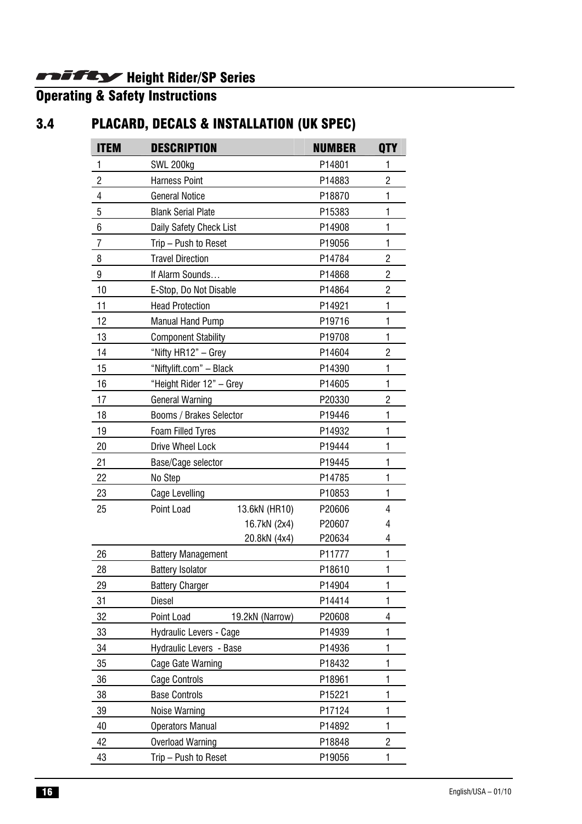Operating & Safety Instructions

# 3.4 PLACARD, DECALS & INSTALLATION (UK SPEC)

| <b>ITEM</b>    | <b>DESCRIPTION</b>            | <b>NUMBER</b> | <b>QTY</b>     |
|----------------|-------------------------------|---------------|----------------|
| 1              | SWL 200kg                     | P14801        | 1              |
| $\sqrt{2}$     | <b>Harness Point</b>          | P14883        | $\overline{c}$ |
| 4              | <b>General Notice</b>         | P18870        | 1              |
| $\overline{5}$ | <b>Blank Serial Plate</b>     | P15383        | 1              |
| $\,6$          | Daily Safety Check List       | P14908        | 1              |
| $\overline{7}$ | Trip - Push to Reset          | P19056        | 1              |
| 8              | <b>Travel Direction</b>       | P14784        | $\overline{c}$ |
| 9              | If Alarm Sounds               | P14868        | $\overline{c}$ |
| 10             | E-Stop, Do Not Disable        | P14864        | $\overline{c}$ |
| 11             | <b>Head Protection</b>        | P14921        | 1              |
| 12             | <b>Manual Hand Pump</b>       | P19716        | 1              |
| 13             | <b>Component Stability</b>    | P19708        | 1              |
| 14             | "Nifty HR12" - Grey           | P14604        | $\overline{2}$ |
| 15             | "Niftylift.com" - Black       | P14390        | 1              |
| 16             | "Height Rider 12" - Grey      | P14605        | $\mathbf{1}$   |
| 17             | <b>General Warning</b>        | P20330        | $\overline{c}$ |
| 18             | Booms / Brakes Selector       | P19446        | 1              |
| 19             | Foam Filled Tyres             | P14932        | 1              |
| 20             | <b>Drive Wheel Lock</b>       | P19444        | 1              |
| 21             | Base/Cage selector            | P19445        | 1              |
| 22             | No Step                       | P14785        | 1              |
| 23             | <b>Cage Levelling</b>         | P10853        | $\mathbf{1}$   |
| 25             | Point Load<br>13.6kN (HR10)   | P20606        | 4              |
|                | 16.7kN (2x4)                  | P20607        | 4              |
|                | 20.8kN (4x4)                  | P20634        | 4              |
| 26             | <b>Battery Management</b>     | P11777        | 1              |
| 28             | <b>Battery Isolator</b>       | P18610        | 1              |
| 29             | <b>Battery Charger</b>        | P14904        | 1              |
| 31             | <b>Diesel</b>                 | P14414        | 1              |
| 32             | Point Load<br>19.2kN (Narrow) | P20608        | 4              |
| 33             | Hydraulic Levers - Cage       | P14939        | 1              |
| 34             | Hydraulic Levers - Base       | P14936        | $\mathbf{1}$   |
| 35             | Cage Gate Warning             | P18432        | 1              |
| 36             | <b>Cage Controls</b>          | P18961        | 1              |
| 38             | <b>Base Controls</b>          | P15221        | 1              |
| 39             | Noise Warning                 | P17124        | 1              |
| 40             | <b>Operators Manual</b>       | P14892        | 1              |
| 42             | <b>Overload Warning</b>       | P18848        | $\overline{c}$ |
| 43             | Trip - Push to Reset          | P19056        | 1              |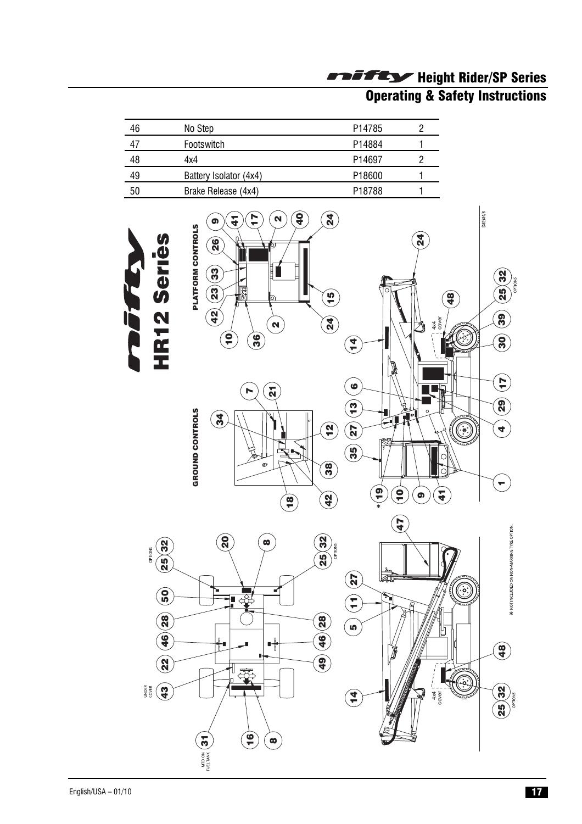# Operating & Safety Instructions

| 46  | No Step                | P <sub>14785</sub> |  |
|-----|------------------------|--------------------|--|
| -47 | Footswitch             | P14884             |  |
| 48  | 4x4                    | P <sub>14697</sub> |  |
| 49  | Battery Isolator (4x4) | P <sub>18600</sub> |  |
| 50  | Brake Release (4x4)    | P <sub>18788</sub> |  |

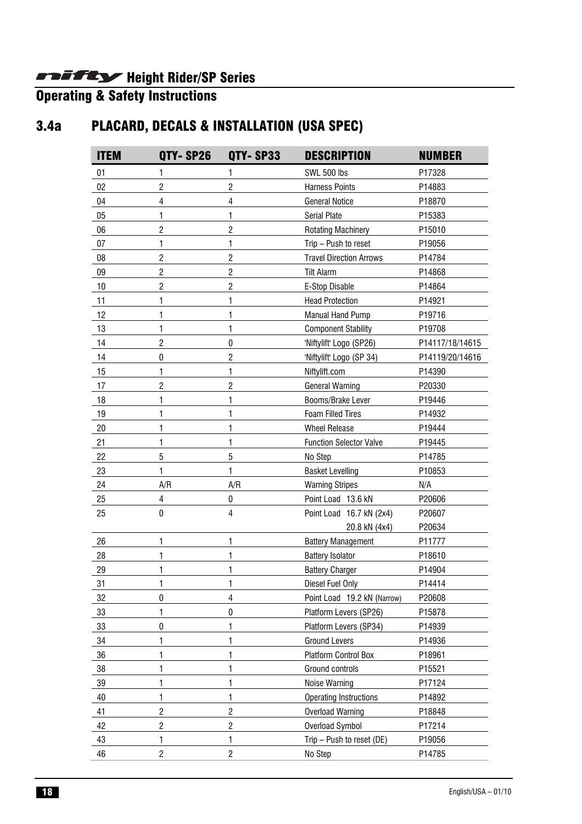#### Operating & Safety Instructions

# 3.4a PLACARD, DECALS & INSTALLATION (USA SPEC)

| <b>ITEM</b> | QTY-SP26       | OTY-SP33                | <b>DESCRIPTION</b>             | <b>NUMBER</b>   |
|-------------|----------------|-------------------------|--------------------------------|-----------------|
| 01          | 1              | 1                       | <b>SWL 500 lbs</b>             | P17328          |
| 02          | $\overline{2}$ | $\overline{c}$          | <b>Harness Points</b>          | P14883          |
| 04          | 4              | $\overline{4}$          | <b>General Notice</b>          | P18870          |
| 05          | 1              | 1                       | <b>Serial Plate</b>            | P15383          |
| 06          | $\overline{2}$ | $\overline{c}$          | <b>Rotating Machinery</b>      | P15010          |
| 07          | 1              | 1                       | Trip - Push to reset           | P19056          |
| 08          | 2              | $\overline{2}$          | <b>Travel Direction Arrows</b> | P14784          |
| 09          | $\overline{c}$ | $\overline{c}$          | <b>Tilt Alarm</b>              | P14868          |
| 10          | $\overline{2}$ | $\overline{c}$          | E-Stop Disable                 | P14864          |
| 11          | 1              | 1                       | <b>Head Protection</b>         | P14921          |
| 12          | 1              | 1                       | <b>Manual Hand Pump</b>        | P19716          |
| 13          | 1              | 1                       | <b>Component Stability</b>     | P19708          |
| 14          | $\overline{c}$ | $\pmb{0}$               | 'Niftylift' Logo (SP26)        | P14117/18/14615 |
| 14          | $\mathbf{0}$   | $\overline{c}$          | 'Niftylift' Logo (SP 34)       | P14119/20/14616 |
| 15          | 1              | 1                       | Niftylift.com                  | P14390          |
| 17          | $\overline{2}$ | $\overline{2}$          | <b>General Warning</b>         | P20330          |
| 18          | 1              | 1                       | Booms/Brake Lever              | P19446          |
| 19          | 1              | 1                       | <b>Foam Filled Tires</b>       | P14932          |
| 20          | 1              | 1                       | <b>Wheel Release</b>           | P19444          |
| 21          | 1              | $\mathbf{1}$            | <b>Function Selector Valve</b> | P19445          |
| 22          | 5              | $\overline{5}$          | No Step                        | P14785          |
| 23          | 1              | 1                       | <b>Basket Levelling</b>        | P10853          |
| 24          | A/R            | A/R                     | <b>Warning Stripes</b>         | N/A             |
| 25          | 4              | 0                       | Point Load 13.6 kN             | P20606          |
| 25          | $\mathbf 0$    | $\overline{4}$          | Point Load 16.7 kN (2x4)       | P20607          |
|             |                |                         | 20.8 kN (4x4)                  | P20634          |
| 26          | 1              | 1                       | <b>Battery Management</b>      | P11777          |
| 28          | 1              | 1                       | <b>Battery Isolator</b>        | P18610          |
| 29          | 1              | 1                       | <b>Battery Charger</b>         | P14904          |
| 31          | 1              | 1                       | Diesel Fuel Only               | P14414          |
| 32          | 0              | $\overline{4}$          | Point Load 19.2 kN (Narrow)    | P20608          |
| 33          | 1              | $\pmb{0}$               | Platform Levers (SP26)         | P15878          |
| 33          | $\mathbf 0$    | 1                       | Platform Levers (SP34)         | P14939          |
| 34          | 1              | 1                       | <b>Ground Levers</b>           | P14936          |
| 36          | 1              | 1                       | Platform Control Box           | P18961          |
| 38          | 1              | 1                       | Ground controls                | P15521          |
| 39          | 1              | 1                       | Noise Warning                  | P17124          |
| 40          | 1              | $\mathbf{1}$            | <b>Operating Instructions</b>  | P14892          |
| 41          | $\overline{c}$ | $\overline{\mathbf{c}}$ | <b>Overload Warning</b>        | P18848          |
| 42          | $\overline{c}$ | $\sqrt{2}$              | Overload Symbol                | P17214          |
| 43          | 1              | 1                       | Trip - Push to reset (DE)      | P19056          |
| 46          | $\overline{c}$ | $\overline{c}$          | No Step                        | P14785          |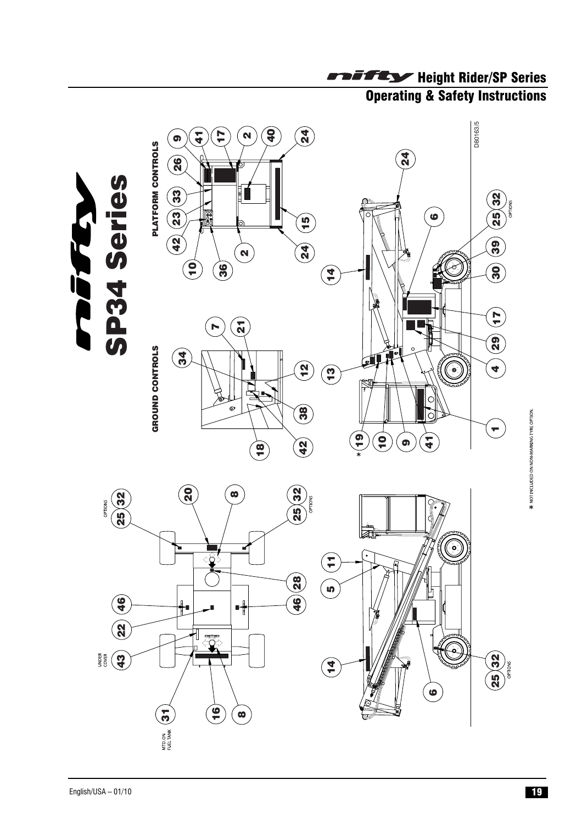

# Operating & Safety Instructions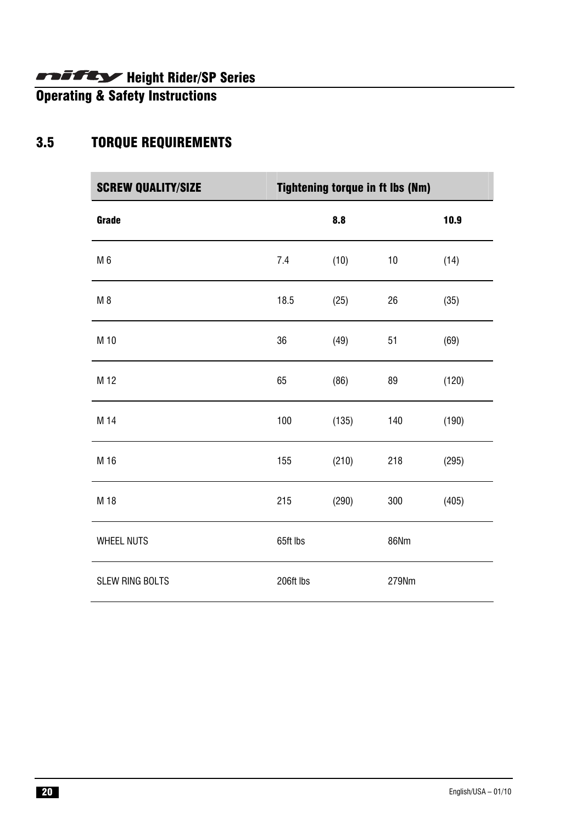Operating & Safety Instructions

# 3.5 TORQUE REQUIREMENTS

| <b>SCREW QUALITY/SIZE</b> | <b>Tightening torque in ft lbs (Nm)</b> |       |             |       |
|---------------------------|-----------------------------------------|-------|-------------|-------|
| Grade                     |                                         | 8.8   |             | 10.9  |
| M 6                       | 7.4                                     | (10)  | 10          | (14)  |
| M <sub>8</sub>            | 18.5                                    | (25)  | 26          | (35)  |
| M 10                      | 36                                      | (49)  | 51          | (69)  |
| M 12                      | 65                                      | (86)  | 89          | (120) |
| M 14                      | 100                                     | (135) | 140         | (190) |
| M 16                      | 155                                     | (210) | 218         | (295) |
| M 18                      | 215                                     | (290) | 300         | (405) |
| <b>WHEEL NUTS</b>         | 65ft lbs                                |       | <b>86Nm</b> |       |
| <b>SLEW RING BOLTS</b>    | 206ft lbs                               |       | 279Nm       |       |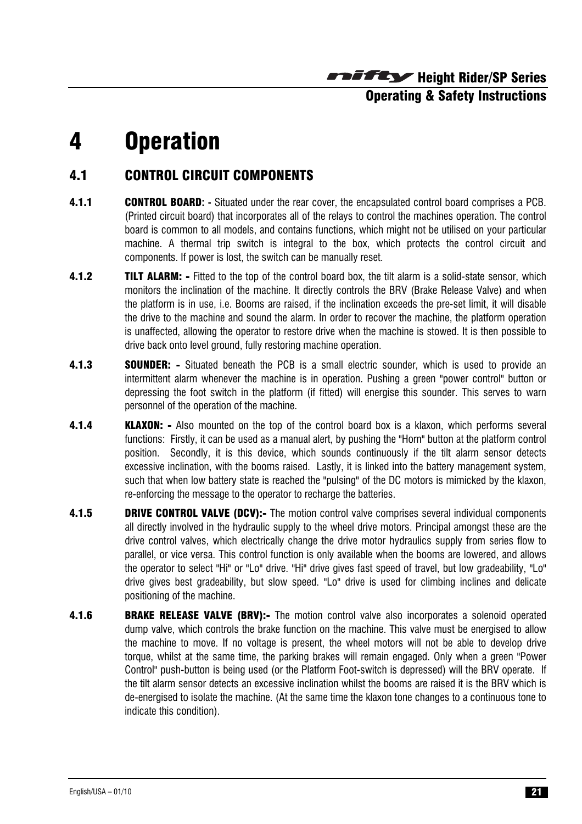Height Rider/SP Series Operating & Safety Instructions

# 4 Operation

# 4.1 CONTROL CIRCUIT COMPONENTS

- 4.1.1 CONTROL BOARD**: -** Situated under the rear cover, the encapsulated control board comprises a PCB. (Printed circuit board) that incorporates all of the relays to control the machines operation. The control board is common to all models, and contains functions, which might not be utilised on your particular machine. A thermal trip switch is integral to the box, which protects the control circuit and components. If power is lost, the switch can be manually reset.
- **4.1.2 TILT ALARM:** Fitted to the top of the control board box, the tilt alarm is a solid-state sensor, which monitors the inclination of the machine. It directly controls the BRV (Brake Release Valve) and when the platform is in use, i.e. Booms are raised, if the inclination exceeds the pre-set limit, it will disable the drive to the machine and sound the alarm. In order to recover the machine, the platform operation is unaffected, allowing the operator to restore drive when the machine is stowed. It is then possible to drive back onto level ground, fully restoring machine operation.
- **4.1.3 SOUNDER:** Situated beneath the PCB is a small electric sounder, which is used to provide an intermittent alarm whenever the machine is in operation. Pushing a green "power control" button or depressing the foot switch in the platform (if fitted) will energise this sounder. This serves to warn personnel of the operation of the machine.
- **4.1.4 KLAXON:** Also mounted on the top of the control board box is a klaxon, which performs several functions: Firstly, it can be used as a manual alert, by pushing the "Horn" button at the platform control position. Secondly, it is this device, which sounds continuously if the tilt alarm sensor detects excessive inclination, with the booms raised. Lastly, it is linked into the battery management system, such that when low battery state is reached the "pulsing" of the DC motors is mimicked by the klaxon, re-enforcing the message to the operator to recharge the batteries.
- **4.1.5 DRIVE CONTROL VALVE (DCV):-** The motion control valve comprises several individual components all directly involved in the hydraulic supply to the wheel drive motors. Principal amongst these are the drive control valves, which electrically change the drive motor hydraulics supply from series flow to parallel, or vice versa. This control function is only available when the booms are lowered, and allows the operator to select "Hi" or "Lo" drive. "Hi" drive gives fast speed of travel, but low gradeability, "Lo" drive gives best gradeability, but slow speed. "Lo" drive is used for climbing inclines and delicate positioning of the machine.
- **4.1.6 BRAKE RELEASE VALVE (BRV):-** The motion control valve also incorporates a solenoid operated dump valve, which controls the brake function on the machine. This valve must be energised to allow the machine to move. If no voltage is present, the wheel motors will not be able to develop drive torque, whilst at the same time, the parking brakes will remain engaged. Only when a green "Power Control" push-button is being used (or the Platform Foot-switch is depressed) will the BRV operate. If the tilt alarm sensor detects an excessive inclination whilst the booms are raised it is the BRV which is de-energised to isolate the machine. (At the same time the klaxon tone changes to a continuous tone to indicate this condition).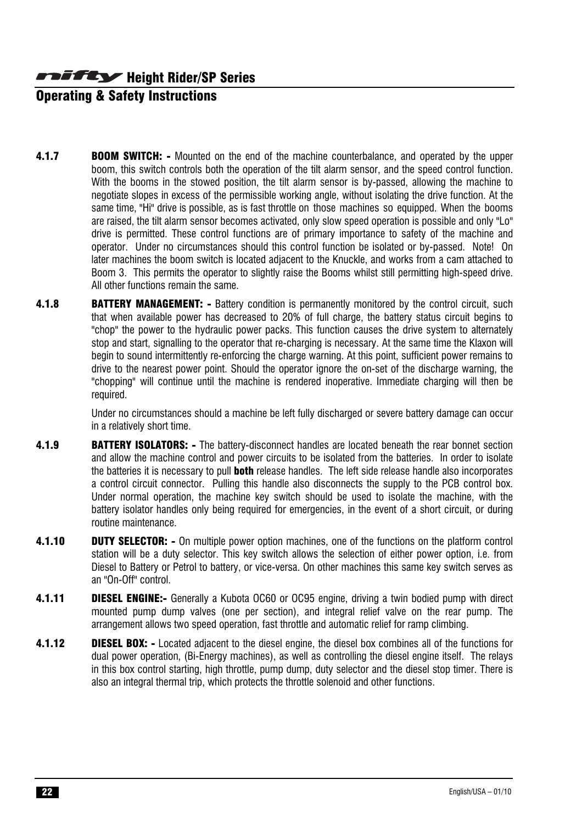# Operating & Safety Instructions

- **4.1.7** BOOM SWITCH: Mounted on the end of the machine counterbalance, and operated by the upper boom, this switch controls both the operation of the tilt alarm sensor, and the speed control function. With the booms in the stowed position, the tilt alarm sensor is by-passed, allowing the machine to negotiate slopes in excess of the permissible working angle, without isolating the drive function. At the same time, "Hi" drive is possible, as is fast throttle on those machines so equipped. When the booms are raised, the tilt alarm sensor becomes activated, only slow speed operation is possible and only "Lo" drive is permitted. These control functions are of primary importance to safety of the machine and operator. Under no circumstances should this control function be isolated or by-passed. Note! On later machines the boom switch is located adjacent to the Knuckle, and works from a cam attached to Boom 3. This permits the operator to slightly raise the Booms whilst still permitting high-speed drive. All other functions remain the same.
- **4.1.8 BATTERY MANAGEMENT:** Battery condition is permanently monitored by the control circuit, such that when available power has decreased to 20% of full charge, the battery status circuit begins to "chop" the power to the hydraulic power packs. This function causes the drive system to alternately stop and start, signalling to the operator that re-charging is necessary. At the same time the Klaxon will begin to sound intermittently re-enforcing the charge warning. At this point, sufficient power remains to drive to the nearest power point. Should the operator ignore the on-set of the discharge warning, the "chopping" will continue until the machine is rendered inoperative. Immediate charging will then be required.

 Under no circumstances should a machine be left fully discharged or severe battery damage can occur in a relatively short time.

- 4.1.9 **BATTERY ISOLATORS:** The battery-disconnect handles are located beneath the rear bonnet section and allow the machine control and power circuits to be isolated from the batteries. In order to isolate the batteries it is necessary to pull **both** release handles. The left side release handle also incorporates a control circuit connector. Pulling this handle also disconnects the supply to the PCB control box. Under normal operation, the machine key switch should be used to isolate the machine, with the battery isolator handles only being required for emergencies, in the event of a short circuit, or during routine maintenance.
- **4.1.10 DUTY SELECTOR:** On multiple power option machines, one of the functions on the platform control station will be a duty selector. This key switch allows the selection of either power option, i.e. from Diesel to Battery or Petrol to battery, or vice-versa. On other machines this same key switch serves as an "On-Off" control.
- **4.1.11 DIESEL ENGINE:-** Generally a Kubota OC60 or OC95 engine, driving a twin bodied pump with direct mounted pump dump valves (one per section), and integral relief valve on the rear pump. The arrangement allows two speed operation, fast throttle and automatic relief for ramp climbing.
- 4.1.12 **DIESEL BOX:** Located adjacent to the diesel engine, the diesel box combines all of the functions for dual power operation, (Bi-Energy machines), as well as controlling the diesel engine itself. The relays in this box control starting, high throttle, pump dump, duty selector and the diesel stop timer. There is also an integral thermal trip, which protects the throttle solenoid and other functions.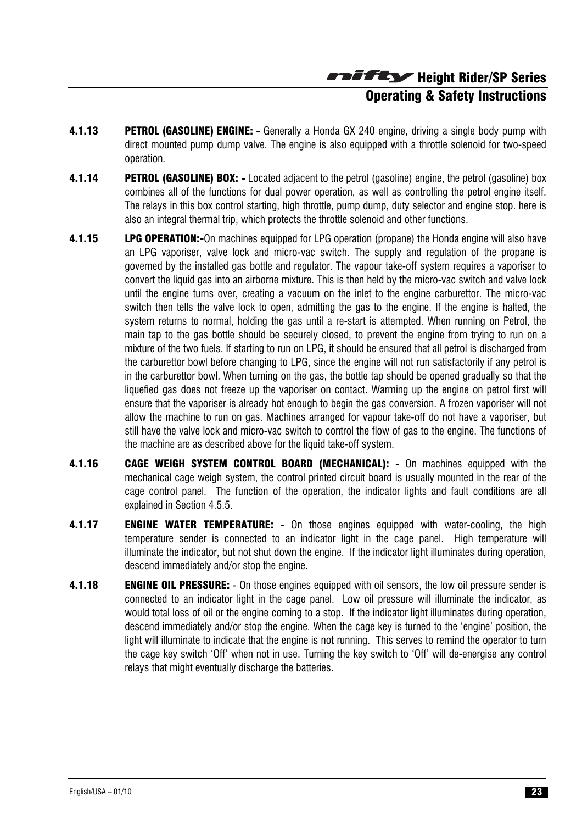Height Rider/SP Series Operating & Safety Instructions

- **4.1.13 PETROL (GASOLINE) ENGINE:** Generally a Honda GX 240 engine, driving a single body pump with direct mounted pump dump valve. The engine is also equipped with a throttle solenoid for two-speed operation.
- 4.1.14 PETROL (GASOLINE) BOX: Located adjacent to the petrol (gasoline) engine, the petrol (gasoline) box combines all of the functions for dual power operation, as well as controlling the petrol engine itself. The relays in this box control starting, high throttle, pump dump, duty selector and engine stop. here is also an integral thermal trip, which protects the throttle solenoid and other functions.
- **4.1.15 LPG OPERATION:-**On machines equipped for LPG operation (propane) the Honda engine will also have an LPG vaporiser, valve lock and micro-vac switch. The supply and regulation of the propane is governed by the installed gas bottle and regulator. The vapour take-off system requires a vaporiser to convert the liquid gas into an airborne mixture. This is then held by the micro-vac switch and valve lock until the engine turns over, creating a vacuum on the inlet to the engine carburettor. The micro-vac switch then tells the valve lock to open, admitting the gas to the engine. If the engine is halted, the system returns to normal, holding the gas until a re-start is attempted. When running on Petrol, the main tap to the gas bottle should be securely closed, to prevent the engine from trying to run on a mixture of the two fuels. If starting to run on LPG, it should be ensured that all petrol is discharged from the carburettor bowl before changing to LPG, since the engine will not run satisfactorily if any petrol is in the carburettor bowl. When turning on the gas, the bottle tap should be opened gradually so that the liquefied gas does not freeze up the vaporiser on contact. Warming up the engine on petrol first will ensure that the vaporiser is already hot enough to begin the gas conversion. A frozen vaporiser will not allow the machine to run on gas. Machines arranged for vapour take-off do not have a vaporiser, but still have the valve lock and micro-vac switch to control the flow of gas to the engine. The functions of the machine are as described above for the liquid take-off system.
- 4.1.16 CAGE WEIGH SYSTEM CONTROL BOARD (MECHANICAL): On machines equipped with the mechanical cage weigh system, the control printed circuit board is usually mounted in the rear of the cage control panel. The function of the operation, the indicator lights and fault conditions are all explained in Section 4.5.5.
- **4.1.17 ENGINE WATER TEMPERATURE:** On those engines equipped with water-cooling, the high temperature sender is connected to an indicator light in the cage panel. High temperature will illuminate the indicator, but not shut down the engine. If the indicator light illuminates during operation, descend immediately and/or stop the engine.
- **4.1.18 ENGINE OIL PRESSURE:** On those engines equipped with oil sensors, the low oil pressure sender is connected to an indicator light in the cage panel. Low oil pressure will illuminate the indicator, as would total loss of oil or the engine coming to a stop. If the indicator light illuminates during operation, descend immediately and/or stop the engine. When the cage key is turned to the 'engine' position, the light will illuminate to indicate that the engine is not running. This serves to remind the operator to turn the cage key switch 'Off' when not in use. Turning the key switch to 'Off' will de-energise any control relays that might eventually discharge the batteries.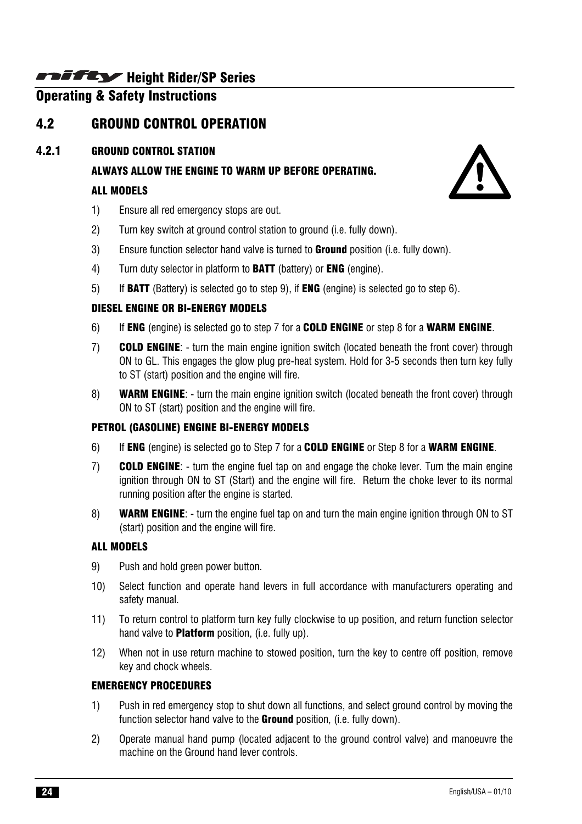# Operating & Safety Instructions

# 4.2 GROUND CONTROL OPERATION

### 4.2.1 GROUND CONTROL STATION

ALWAYS ALLOW THE ENGINE TO WARM UP BEFORE OPERATING.

### ALL MODELS

- 1) Ensure all red emergency stops are out.
- 2) Turn key switch at ground control station to ground (i.e. fully down).
- 3) Ensure function selector hand valve is turned to **Ground** position (i.e. fully down).
- 4) Turn duty selector in platform to **BATT** (battery) or **ENG** (engine).
- 5) If BATT (Battery) is selected go to step 9), if ENG (engine) is selected go to step 6).

# DIESEL ENGINE OR BI-ENERGY MODELS

- 6) If ENG (engine) is selected go to step 7 for a COLD ENGINE or step 8 for a WARM ENGINE.
- 7) **COLD ENGINE:** turn the main engine ignition switch (located beneath the front cover) through ON to GL. This engages the glow plug pre-heat system. Hold for 3-5 seconds then turn key fully to ST (start) position and the engine will fire.
- 8) WARM ENGINE: turn the main engine ignition switch (located beneath the front cover) through ON to ST (start) position and the engine will fire.

# PETROL (GASOLINE) ENGINE BI-ENERGY MODELS

- 6) If ENG (engine) is selected go to Step 7 for a COLD ENGINE or Step 8 for a WARM ENGINE.
- 7) COLD ENGINE: turn the engine fuel tap on and engage the choke lever. Turn the main engine ignition through ON to ST (Start) and the engine will fire. Return the choke lever to its normal running position after the engine is started.
- 8) WARM ENGINE: turn the engine fuel tap on and turn the main engine ignition through ON to ST (start) position and the engine will fire.

# ALL MODELS

- 9) Push and hold green power button.
- 10) Select function and operate hand levers in full accordance with manufacturers operating and safety manual.
- 11) To return control to platform turn key fully clockwise to up position, and return function selector hand valve to **Platform** position, (i.e. fully up).
- 12) When not in use return machine to stowed position, turn the key to centre off position, remove key and chock wheels.

# EMERGENCY PROCEDURES

- 1) Push in red emergency stop to shut down all functions, and select ground control by moving the function selector hand valve to the **Ground** position, (i.e. fully down).
- 2) Operate manual hand pump (located adjacent to the ground control valve) and manoeuvre the machine on the Ground hand lever controls.

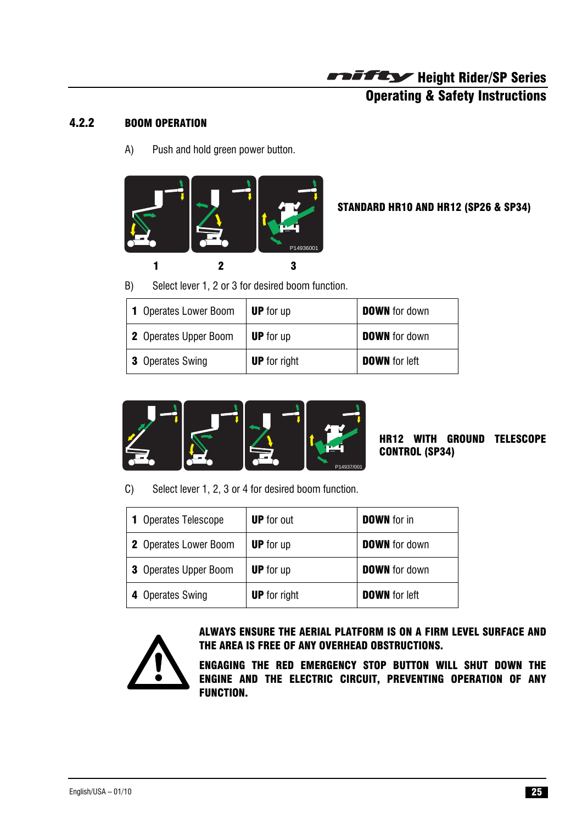# Operating & Safety Instructions

#### 4.2.2 BOOM OPERATION

A) Push and hold green power button.



STANDARD HR10 AND HR12 (SP26 & SP34)

B) Select lever 1, 2 or 3 for desired boom function.

| <b>1</b> Operates Lower Boom | <b>UP</b> for up    | <b>DOWN</b> for down |
|------------------------------|---------------------|----------------------|
| 2 Operates Upper Boom        | <b>UP</b> for up    | <b>DOWN</b> for down |
| <b>3</b> Operates Swing      | <b>UP</b> for right | <b>DOWN</b> for left |



HR12 WITH GROUND TELESCOPE CONTROL (SP34)

C) Select lever 1, 2, 3 or 4 for desired boom function.

| <b>1</b> Operates Telescope  | <b>UP</b> for out   | <b>DOWN</b> for in   |
|------------------------------|---------------------|----------------------|
| <b>2</b> Operates Lower Boom | <b>UP</b> for up    | <b>DOWN</b> for down |
| <b>3</b> Operates Upper Boom | <b>UP</b> for up    | <b>DOWN</b> for down |
| 4 Operates Swing             | <b>UP</b> for right | <b>DOWN</b> for left |



ALWAYS ENSURE THE AERIAL PLATFORM IS ON A FIRM LEVEL SURFACE AND THE AREA IS FREE OF ANY OVERHEAD OBSTRUCTIONS.

ENGAGING THE RED EMERGENCY STOP BUTTON WILL SHUT DOWN THE ENGINE AND THE ELECTRIC CIRCUIT, PREVENTING OPERATION OF ANY FUNCTION.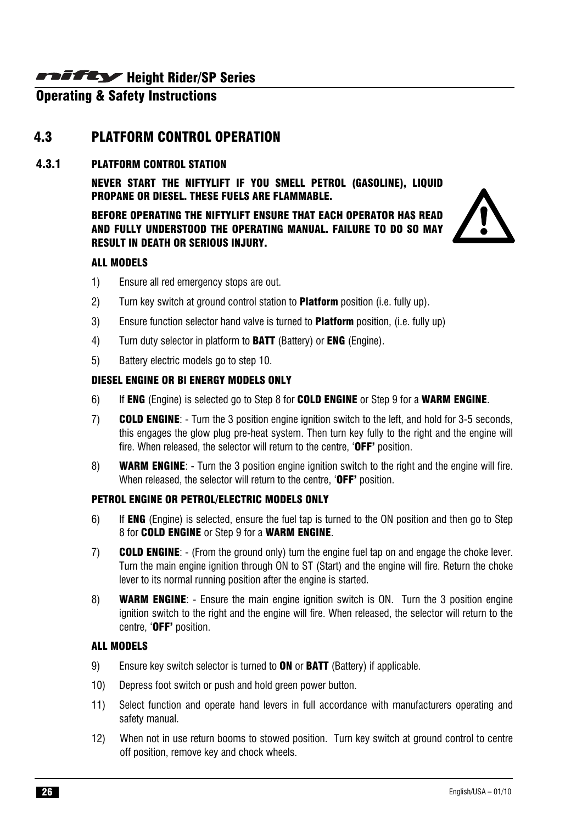# Operating & Safety Instructions

# 4.3 PLATFORM CONTROL OPERATION

#### 4.3.1 PLATFORM CONTROL STATION

NEVER START THE NIFTYLIFT IF YOU SMELL PETROL (GASOLINE), LIQUID PROPANE OR DIESEL. THESE FUELS ARE FLAMMABLE.

BEFORE OPERATING THE NIFTYLIFT ENSURE THAT EACH OPERATOR HAS READ AND FULLY UNDERSTOOD THE OPERATING MANUAL. FAILURE TO DO SO MAY RESULT IN DEATH OR SERIOUS INJURY.



#### ALL MODELS

- 1) Ensure all red emergency stops are out.
- 2) Turn key switch at ground control station to **Platform** position (i.e. fully up).
- 3) Ensure function selector hand valve is turned to **Platform** position, (i.e. fully up)
- 4) Turn duty selector in platform to **BATT** (Battery) or **ENG** (Engine).
- 5) Battery electric models go to step 10.

#### DIESEL ENGINE OR Bl ENERGY MODELS ONLY

- 6) If ENG (Engine) is selected go to Step 8 for COLD ENGINE or Step 9 for a WARM ENGINE.
- 7) COLD ENGINE: Turn the 3 position engine ignition switch to the left, and hold for 3-5 seconds, this engages the glow plug pre-heat system. Then turn key fully to the right and the engine will fire. When released, the selector will return to the centre, 'OFF' position.
- 8) WARM ENGINE: Turn the 3 position engine ignition switch to the right and the engine will fire. When released, the selector will return to the centre, 'OFF' position.

#### PETROL ENGINE OR PETROL/ELECTRIC MODELS ONLY

- 6) If ENG (Engine) is selected, ensure the fuel tap is turned to the ON position and then go to Step 8 for COLD ENGINE or Step 9 for a WARM ENGINE.
- 7) COLD ENGINE: (From the ground only) turn the engine fuel tap on and engage the choke lever. Turn the main engine ignition through ON to ST (Start) and the engine will fire. Return the choke lever to its normal running position after the engine is started.
- 8) **WARM ENGINE:** Ensure the main engine ignition switch is ON. Turn the 3 position engine ignition switch to the right and the engine will fire. When released, the selector will return to the centre, 'OFF' position.

#### ALL MODELS

- 9) Ensure key switch selector is turned to **ON** or **BATT** (Battery) if applicable.
- 10) Depress foot switch or push and hold green power button.
- 11) Select function and operate hand levers in full accordance with manufacturers operating and safety manual.
- 12) When not in use return booms to stowed position. Turn key switch at ground control to centre off position, remove key and chock wheels.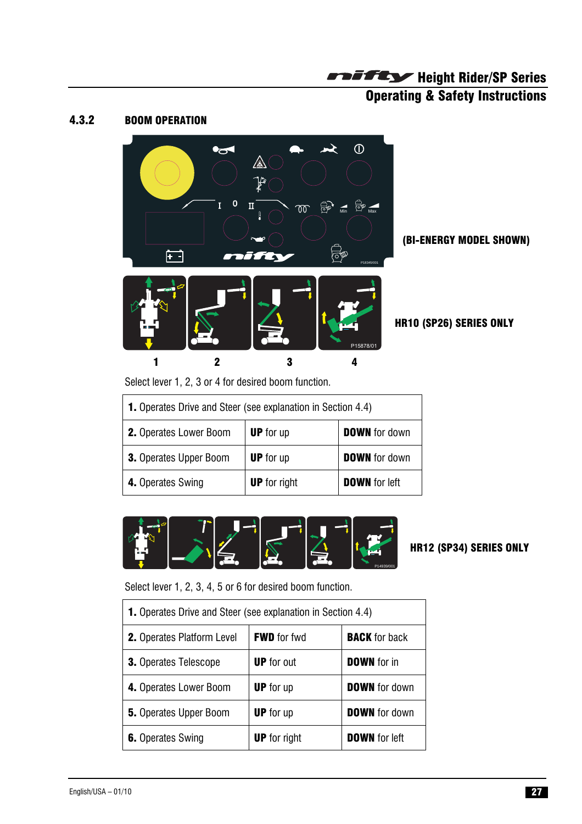# **Operating & Safety Instructions**

#### 4.3.2 BOOM OPERATION



(BI-ENERGY MODEL SHOWN)

Select lever 1, 2, 3 or 4 for desired boom function.

| <b>1.</b> Operates Drive and Steer (see explanation in Section 4.4) |                     |                      |  |
|---------------------------------------------------------------------|---------------------|----------------------|--|
| 2. Operates Lower Boom                                              | <b>UP</b> for up    | <b>DOWN</b> for down |  |
| <b>3.</b> Operates Upper Boom                                       | <b>UP</b> for up    | <b>DOWN</b> for down |  |
| 4. Operates Swing                                                   | <b>UP</b> for right | <b>DOWN</b> for left |  |



#### HR12 (SP34) SERIES ONLY

Select lever 1, 2, 3, 4, 5 or 6 for desired boom function.

| <b>1.</b> Operates Drive and Steer (see explanation in Section 4.4) |                     |                      |  |
|---------------------------------------------------------------------|---------------------|----------------------|--|
| <b>2.</b> Operates Platform Level                                   | <b>FWD</b> for fwd  | <b>BACK</b> for back |  |
| <b>3.</b> Operates Telescope                                        | <b>UP</b> for out   | <b>DOWN</b> for in   |  |
| 4. Operates Lower Boom                                              | <b>UP</b> for up    | <b>DOWN</b> for down |  |
| <b>5.</b> Operates Upper Boom                                       | <b>UP</b> for up    | <b>DOWN</b> for down |  |
| <b>6.</b> Operates Swing                                            | <b>UP</b> for right | <b>DOWN</b> for left |  |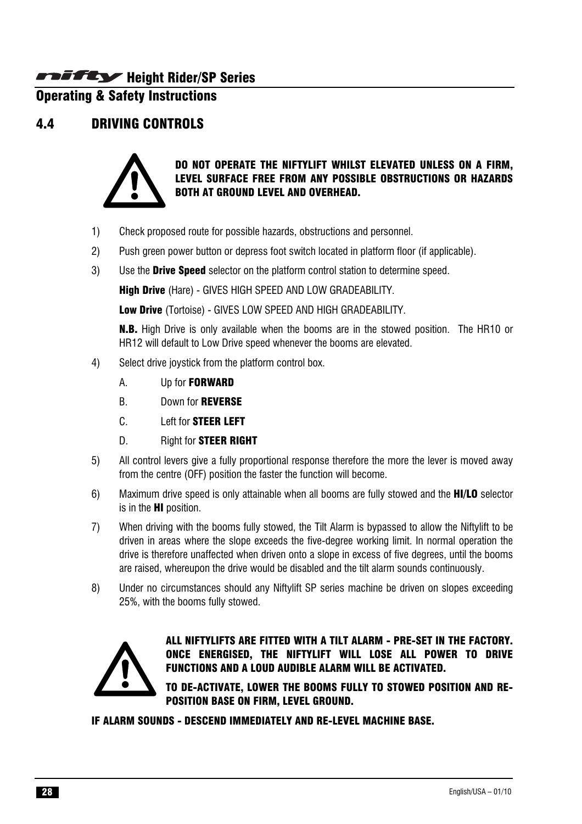# Operating & Safety Instructions

#### 4.4 DRIVING CONTROLS



DO NOT OPERATE THE NIFTYLIFT WHILST ELEVATED UNLESS ON A FIRM, LEVEL SURFACE FREE FROM ANY POSSIBLE OBSTRUCTIONS OR HAZARDS BOTH AT GROUND LEVEL AND OVERHEAD.

- 1) Check proposed route for possible hazards, obstructions and personnel.
- 2) Push green power button or depress foot switch located in platform floor (if applicable).
- 3) Use the Drive Speed selector on the platform control station to determine speed.

High Drive (Hare) - GIVES HIGH SPEED AND LOW GRADEABILITY.

Low Drive (Tortoise) - GIVES LOW SPEED AND HIGH GRADEABILITY.

**N.B.** High Drive is only available when the booms are in the stowed position. The HR10 or HR12 will default to Low Drive speed whenever the booms are elevated.

- 4) Select drive joystick from the platform control box.
	- A. Up for FORWARD
	- B. Down for REVERSE
	- C. Left for STEER LEFT
	- D. Right for **STEER RIGHT**
- 5) All control levers give a fully proportional response therefore the more the lever is moved away from the centre (OFF) position the faster the function will become.
- 6) Maximum drive speed is only attainable when all booms are fully stowed and the HI/LO selector is in the HI position.
- 7) When driving with the booms fully stowed, the Tilt Alarm is bypassed to allow the Niftylift to be driven in areas where the slope exceeds the five-degree working limit. In normal operation the drive is therefore unaffected when driven onto a slope in excess of five degrees, until the booms are raised, whereupon the drive would be disabled and the tilt alarm sounds continuously.
- 8) Under no circumstances should any Niftylift SP series machine be driven on slopes exceeding 25%, with the booms fully stowed.



ALL NIFTYLIFTS ARE FITTED WITH A TILT ALARM - PRE-SET IN THE FACTORY. ONCE ENERGISED, THE NIFTYLIFT WILL LOSE ALL POWER TO DRIVE FUNCTIONS AND A LOUD AUDIBLE ALARM WILL BE ACTIVATED.

TO DE-ACTIVATE, LOWER THE BOOMS FULLY TO STOWED POSITION AND RE-POSITION BASE ON FIRM, LEVEL GROUND.

IF ALARM SOUNDS - DESCEND IMMEDIATELY AND RE-LEVEL MACHINE BASE.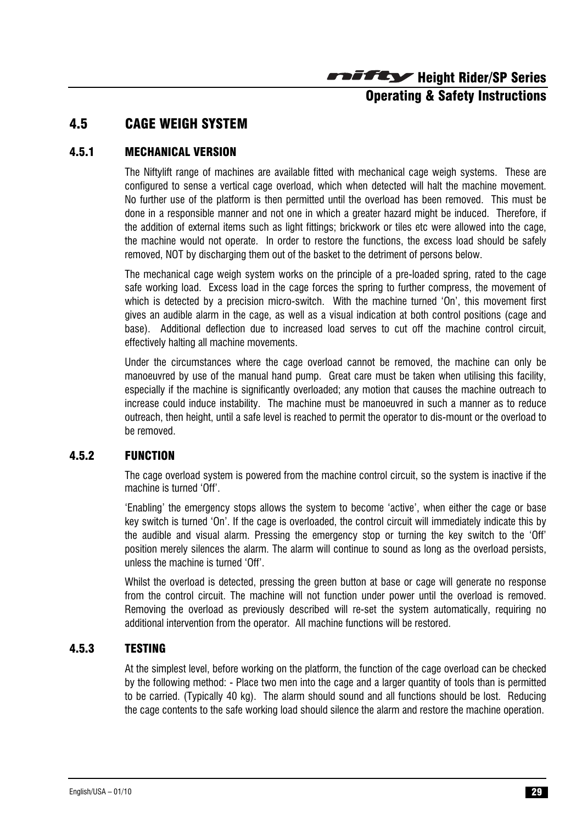# Operating & Safety Instructions

# 4.5 CAGE WEIGH SYSTEM

#### 4.5.1 MECHANICAL VERSION

The Niftylift range of machines are available fitted with mechanical cage weigh systems. These are configured to sense a vertical cage overload, which when detected will halt the machine movement. No further use of the platform is then permitted until the overload has been removed. This must be done in a responsible manner and not one in which a greater hazard might be induced. Therefore, if the addition of external items such as light fittings; brickwork or tiles etc were allowed into the cage, the machine would not operate. In order to restore the functions, the excess load should be safely removed, NOT by discharging them out of the basket to the detriment of persons below.

The mechanical cage weigh system works on the principle of a pre-loaded spring, rated to the cage safe working load. Excess load in the cage forces the spring to further compress, the movement of which is detected by a precision micro-switch. With the machine turned 'On', this movement first gives an audible alarm in the cage, as well as a visual indication at both control positions (cage and base). Additional deflection due to increased load serves to cut off the machine control circuit, effectively halting all machine movements.

Under the circumstances where the cage overload cannot be removed, the machine can only be manoeuvred by use of the manual hand pump. Great care must be taken when utilising this facility, especially if the machine is significantly overloaded; any motion that causes the machine outreach to increase could induce instability. The machine must be manoeuvred in such a manner as to reduce outreach, then height, until a safe level is reached to permit the operator to dis-mount or the overload to be removed.

#### 4.5.2 FUNCTION

The cage overload system is powered from the machine control circuit, so the system is inactive if the machine is turned 'Off'.

'Enabling' the emergency stops allows the system to become 'active', when either the cage or base key switch is turned 'On'. If the cage is overloaded, the control circuit will immediately indicate this by the audible and visual alarm. Pressing the emergency stop or turning the key switch to the 'Off' position merely silences the alarm. The alarm will continue to sound as long as the overload persists, unless the machine is turned 'Off'.

Whilst the overload is detected, pressing the green button at base or cage will generate no response from the control circuit. The machine will not function under power until the overload is removed. Removing the overload as previously described will re-set the system automatically, requiring no additional intervention from the operator. All machine functions will be restored.

#### 4.5.3 TESTING

At the simplest level, before working on the platform, the function of the cage overload can be checked by the following method: - Place two men into the cage and a larger quantity of tools than is permitted to be carried. (Typically 40 kg). The alarm should sound and all functions should be lost. Reducing the cage contents to the safe working load should silence the alarm and restore the machine operation.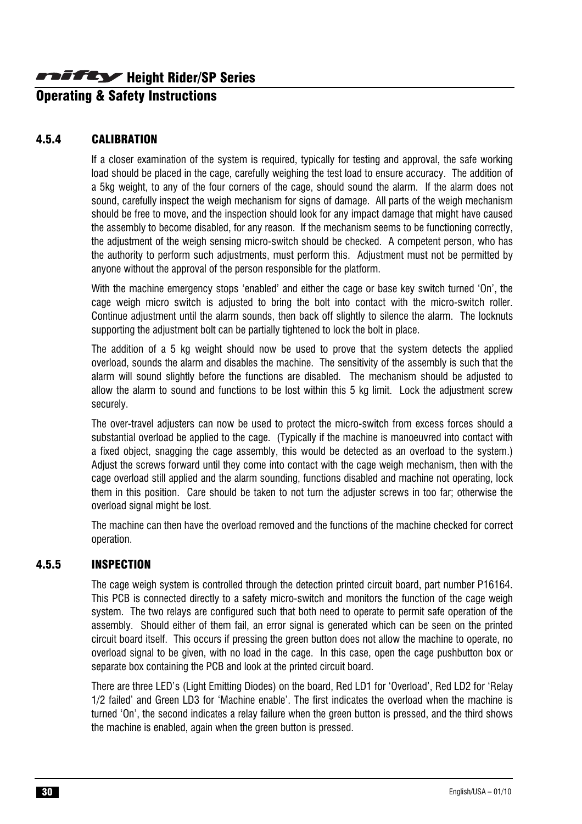# Operating & Safety Instructions

#### 4.5.4 CALIBRATION

If a closer examination of the system is required, typically for testing and approval, the safe working load should be placed in the cage, carefully weighing the test load to ensure accuracy. The addition of a 5kg weight, to any of the four corners of the cage, should sound the alarm. If the alarm does not sound, carefully inspect the weigh mechanism for signs of damage. All parts of the weigh mechanism should be free to move, and the inspection should look for any impact damage that might have caused the assembly to become disabled, for any reason. If the mechanism seems to be functioning correctly, the adjustment of the weigh sensing micro-switch should be checked. A competent person, who has the authority to perform such adjustments, must perform this. Adjustment must not be permitted by anyone without the approval of the person responsible for the platform.

With the machine emergency stops 'enabled' and either the cage or base key switch turned 'On', the cage weigh micro switch is adjusted to bring the bolt into contact with the micro-switch roller. Continue adjustment until the alarm sounds, then back off slightly to silence the alarm. The locknuts supporting the adjustment bolt can be partially tightened to lock the bolt in place.

The addition of a 5 kg weight should now be used to prove that the system detects the applied overload, sounds the alarm and disables the machine. The sensitivity of the assembly is such that the alarm will sound slightly before the functions are disabled. The mechanism should be adjusted to allow the alarm to sound and functions to be lost within this 5 kg limit. Lock the adjustment screw securely.

The over-travel adjusters can now be used to protect the micro-switch from excess forces should a substantial overload be applied to the cage. (Typically if the machine is manoeuvred into contact with a fixed object, snagging the cage assembly, this would be detected as an overload to the system.) Adjust the screws forward until they come into contact with the cage weigh mechanism, then with the cage overload still applied and the alarm sounding, functions disabled and machine not operating, lock them in this position. Care should be taken to not turn the adjuster screws in too far; otherwise the overload signal might be lost.

The machine can then have the overload removed and the functions of the machine checked for correct operation.

#### 4.5.5 INSPECTION

The cage weigh system is controlled through the detection printed circuit board, part number P16164. This PCB is connected directly to a safety micro-switch and monitors the function of the cage weigh system. The two relays are configured such that both need to operate to permit safe operation of the assembly. Should either of them fail, an error signal is generated which can be seen on the printed circuit board itself. This occurs if pressing the green button does not allow the machine to operate, no overload signal to be given, with no load in the cage. In this case, open the cage pushbutton box or separate box containing the PCB and look at the printed circuit board.

There are three LED's (Light Emitting Diodes) on the board, Red LD1 for 'Overload', Red LD2 for 'Relay 1/2 failed' and Green LD3 for 'Machine enable'. The first indicates the overload when the machine is turned 'On', the second indicates a relay failure when the green button is pressed, and the third shows the machine is enabled, again when the green button is pressed.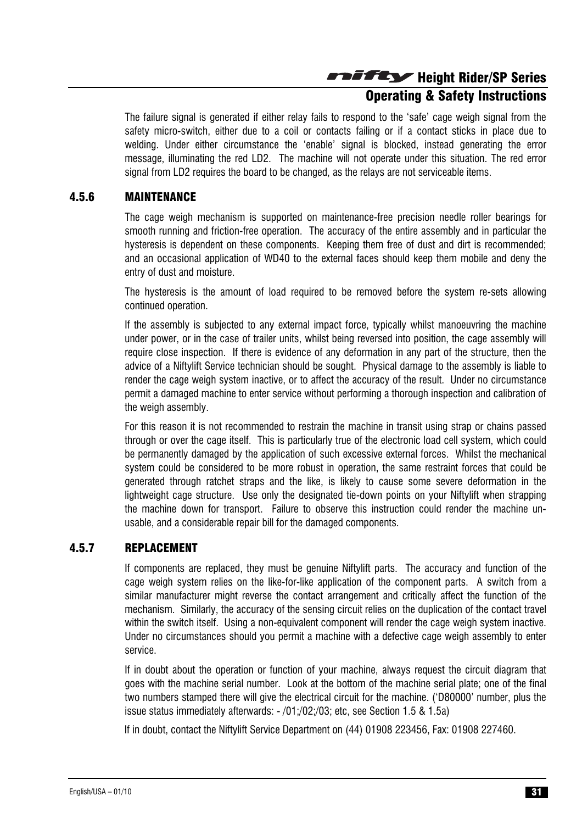# Operating & Safety Instructions

The failure signal is generated if either relay fails to respond to the 'safe' cage weigh signal from the safety micro-switch, either due to a coil or contacts failing or if a contact sticks in place due to welding. Under either circumstance the 'enable' signal is blocked, instead generating the error message, illuminating the red LD2. The machine will not operate under this situation. The red error signal from LD2 requires the board to be changed, as the relays are not serviceable items.

#### 4.5.6 MAINTENANCE

The cage weigh mechanism is supported on maintenance-free precision needle roller bearings for smooth running and friction-free operation. The accuracy of the entire assembly and in particular the hysteresis is dependent on these components. Keeping them free of dust and dirt is recommended; and an occasional application of WD40 to the external faces should keep them mobile and deny the entry of dust and moisture.

The hysteresis is the amount of load required to be removed before the system re-sets allowing continued operation.

If the assembly is subjected to any external impact force, typically whilst manoeuvring the machine under power, or in the case of trailer units, whilst being reversed into position, the cage assembly will require close inspection. If there is evidence of any deformation in any part of the structure, then the advice of a Niftylift Service technician should be sought. Physical damage to the assembly is liable to render the cage weigh system inactive, or to affect the accuracy of the result. Under no circumstance permit a damaged machine to enter service without performing a thorough inspection and calibration of the weigh assembly.

For this reason it is not recommended to restrain the machine in transit using strap or chains passed through or over the cage itself. This is particularly true of the electronic load cell system, which could be permanently damaged by the application of such excessive external forces. Whilst the mechanical system could be considered to be more robust in operation, the same restraint forces that could be generated through ratchet straps and the like, is likely to cause some severe deformation in the lightweight cage structure. Use only the designated tie-down points on your Niftylift when strapping the machine down for transport. Failure to observe this instruction could render the machine unusable, and a considerable repair bill for the damaged components.

#### 4.5.7 REPLACEMENT

If components are replaced, they must be genuine Niftylift parts. The accuracy and function of the cage weigh system relies on the like-for-like application of the component parts. A switch from a similar manufacturer might reverse the contact arrangement and critically affect the function of the mechanism. Similarly, the accuracy of the sensing circuit relies on the duplication of the contact travel within the switch itself. Using a non-equivalent component will render the cage weigh system inactive. Under no circumstances should you permit a machine with a defective cage weigh assembly to enter service.

If in doubt about the operation or function of your machine, always request the circuit diagram that goes with the machine serial number. Look at the bottom of the machine serial plate; one of the final two numbers stamped there will give the electrical circuit for the machine. ('D80000' number, plus the issue status immediately afterwards: - /01;/02;/03; etc, see Section 1.5 & 1.5a)

If in doubt, contact the Niftylift Service Department on (44) 01908 223456, Fax: 01908 227460.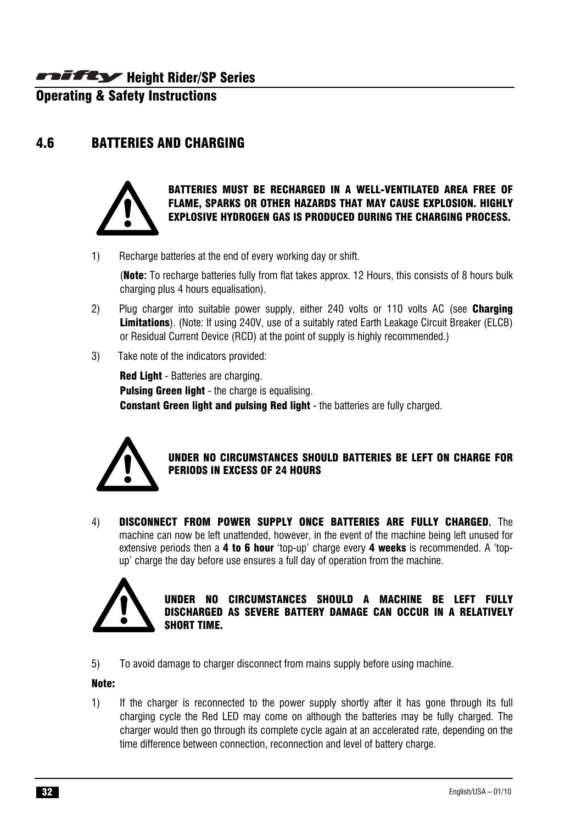**Operating & Safety Instructions** 

# 4.6 BATTERIES AND CHARGING



#### BATTERIES MUST BE RECHARGED IN A WELL-VENTILATED AREA FREE OF FLAME, SPARKS OR OTHER HAZARDS THAT MAY CAUSE EXPLOSION. HIGHLY EXPLOSIVE HYDROGEN GAS IS PRODUCED DURING THE CHARGING PROCESS.

1) Recharge batteries at the end of every working day or shift.

(Note**:** To recharge batteries fully from flat takes approx. 12 Hours, this consists of 8 hours bulk charging plus 4 hours equalisation).

- 2) Plug charger into suitable power supply, either 240 volts or 110 volts AC (see **Charging** Limitations). (Note: If using 240V, use of a suitably rated Earth Leakage Circuit Breaker (ELCB) or Residual Current Device (RCD) at the point of supply is highly recommended.)
- 3) Take note of the indicators provided:

Red Light - Batteries are charging. **Pulsing Green light - the charge is equalising. Constant Green light and pulsing Red light** - the batteries are fully charged.



#### UNDER NO CIRCUMSTANCES SHOULD BATTERIES BE LEFT ON CHARGE FOR PERIODS IN EXCESS OF 24 HOURS

4) DISCONNECT FROM POWER SUPPLY ONCE BATTERIES ARE FULLY CHARGED**.** The machine can now be left unattended, however, in the event of the machine being left unused for extensive periods then a 4 to 6 hour 'top-up' charge every 4 weeks is recommended. A 'topup' charge the day before use ensures a full day of operation from the machine.



#### UNDER NO CIRCUMSTANCES SHOULD A MACHINE BE LEFT FULLY DISCHARGED AS SEVERE BATTERY DAMAGE CAN OCCUR IN A RELATIVELY SHORT TIME.

5) To avoid damage to charger disconnect from mains supply before using machine.

#### Note:

1) If the charger is reconnected to the power supply shortly after it has gone through its full charging cycle the Red LED may come on although the batteries may be fully charged. The charger would then go through its complete cycle again at an accelerated rate, depending on the time difference between connection, reconnection and level of battery charge.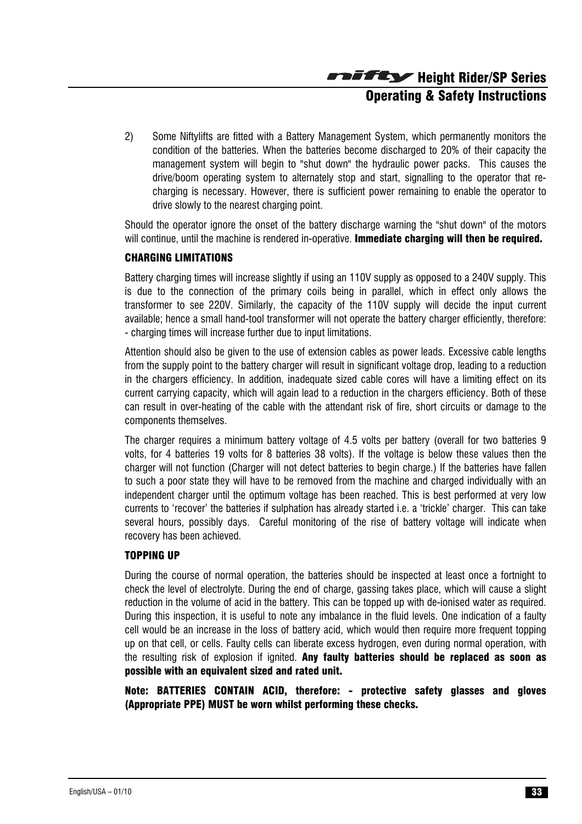Height Rider/SP Series Operating & Safety Instructions

2) Some Niftylifts are fitted with a Battery Management System, which permanently monitors the condition of the batteries. When the batteries become discharged to 20% of their capacity the management system will begin to "shut down" the hydraulic power packs. This causes the drive/boom operating system to alternately stop and start, signalling to the operator that recharging is necessary. However, there is sufficient power remaining to enable the operator to drive slowly to the nearest charging point.

Should the operator ignore the onset of the battery discharge warning the "shut down" of the motors will continue, until the machine is rendered in-operative. **Immediate charging will then be required.** 

#### CHARGING LIMITATIONS

Battery charging times will increase slightly if using an 110V supply as opposed to a 240V supply. This is due to the connection of the primary coils being in parallel, which in effect only allows the transformer to see 220V. Similarly, the capacity of the 110V supply will decide the input current available; hence a small hand-tool transformer will not operate the battery charger efficiently, therefore: - charging times will increase further due to input limitations.

Attention should also be given to the use of extension cables as power leads. Excessive cable lengths from the supply point to the battery charger will result in significant voltage drop, leading to a reduction in the chargers efficiency. In addition, inadequate sized cable cores will have a limiting effect on its current carrying capacity, which will again lead to a reduction in the chargers efficiency. Both of these can result in over-heating of the cable with the attendant risk of fire, short circuits or damage to the components themselves.

The charger requires a minimum battery voltage of 4.5 volts per battery (overall for two batteries 9 volts, for 4 batteries 19 volts for 8 batteries 38 volts). If the voltage is below these values then the charger will not function (Charger will not detect batteries to begin charge.) If the batteries have fallen to such a poor state they will have to be removed from the machine and charged individually with an independent charger until the optimum voltage has been reached. This is best performed at very low currents to 'recover' the batteries if sulphation has already started i.e. a 'trickle' charger. This can take several hours, possibly days. Careful monitoring of the rise of battery voltage will indicate when recovery has been achieved.

#### TOPPING UP

During the course of normal operation, the batteries should be inspected at least once a fortnight to check the level of electrolyte. During the end of charge, gassing takes place, which will cause a slight reduction in the volume of acid in the battery. This can be topped up with de-ionised water as required. During this inspection, it is useful to note any imbalance in the fluid levels. One indication of a faulty cell would be an increase in the loss of battery acid, which would then require more frequent topping up on that cell, or cells. Faulty cells can liberate excess hydrogen, even during normal operation, with the resulting risk of explosion if ignited. Any faulty batteries should be replaced as soon as possible with an equivalent sized and rated unit.

Note: BATTERIES CONTAIN ACID, therefore: - protective safety glasses and gloves (Appropriate PPE) MUST be worn whilst performing these checks.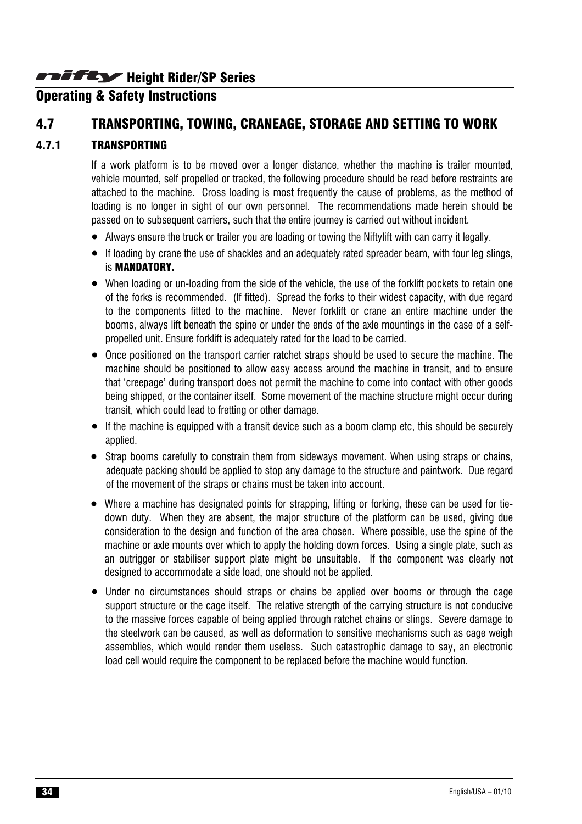# **Operating & Safety Instructions**

# 4.7 TRANSPORTING, TOWING, CRANEAGE, STORAGE AND SETTING TO WORK

#### 4.7.1 TRANSPORTING

If a work platform is to be moved over a longer distance, whether the machine is trailer mounted, vehicle mounted, self propelled or tracked, the following procedure should be read before restraints are attached to the machine. Cross loading is most frequently the cause of problems, as the method of loading is no longer in sight of our own personnel. The recommendations made herein should be passed on to subsequent carriers, such that the entire journey is carried out without incident.

- Always ensure the truck or trailer you are loading or towing the Niftylift with can carry it legally.
- If loading by crane the use of shackles and an adequately rated spreader beam, with four leg slings, is MANDATORY.
- When loading or un-loading from the side of the vehicle, the use of the forklift pockets to retain one of the forks is recommended. (If fitted). Spread the forks to their widest capacity, with due regard to the components fitted to the machine. Never forklift or crane an entire machine under the booms, always lift beneath the spine or under the ends of the axle mountings in the case of a selfpropelled unit. Ensure forklift is adequately rated for the load to be carried.
- Once positioned on the transport carrier ratchet straps should be used to secure the machine. The machine should be positioned to allow easy access around the machine in transit, and to ensure that 'creepage' during transport does not permit the machine to come into contact with other goods being shipped, or the container itself. Some movement of the machine structure might occur during transit, which could lead to fretting or other damage.
- If the machine is equipped with a transit device such as a boom clamp etc, this should be securely applied.
- Strap booms carefully to constrain them from sideways movement. When using straps or chains, adequate packing should be applied to stop any damage to the structure and paintwork. Due regard of the movement of the straps or chains must be taken into account.
- Where a machine has designated points for strapping, lifting or forking, these can be used for tiedown duty. When they are absent, the major structure of the platform can be used, giving due consideration to the design and function of the area chosen. Where possible, use the spine of the machine or axle mounts over which to apply the holding down forces. Using a single plate, such as an outrigger or stabiliser support plate might be unsuitable. If the component was clearly not designed to accommodate a side load, one should not be applied.
- Under no circumstances should straps or chains be applied over booms or through the cage support structure or the cage itself. The relative strength of the carrying structure is not conducive to the massive forces capable of being applied through ratchet chains or slings. Severe damage to the steelwork can be caused, as well as deformation to sensitive mechanisms such as cage weigh assemblies, which would render them useless. Such catastrophic damage to say, an electronic load cell would require the component to be replaced before the machine would function.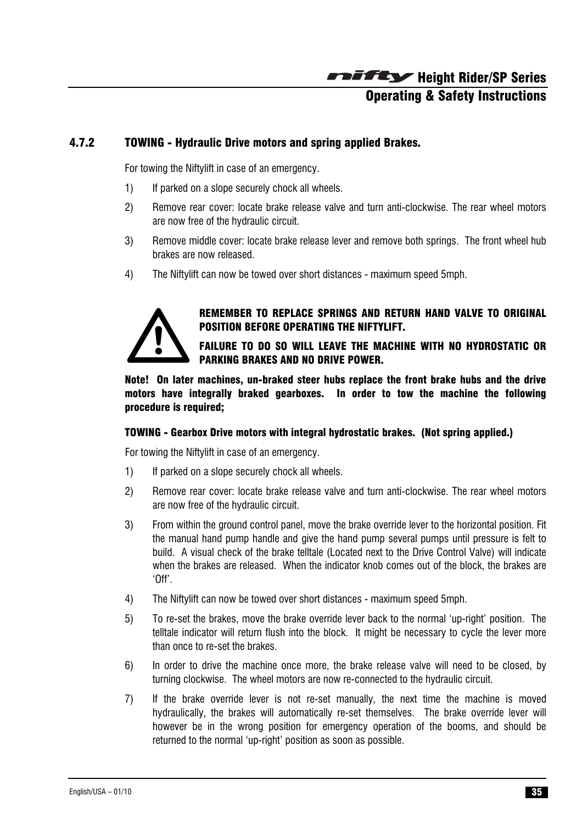# Height Rider/SP Series Operating & Safety Instructions

#### 4.7.2 TOWING - Hydraulic Drive motors and spring applied Brakes.

For towing the Niftylift in case of an emergency.

- 1) If parked on a slope securely chock all wheels.
- 2) Remove rear cover: locate brake release valve and turn anti-clockwise. The rear wheel motors are now free of the hydraulic circuit.
- 3) Remove middle cover: locate brake release lever and remove both springs. The front wheel hub brakes are now released.
- 4) The Niftylift can now be towed over short distances maximum speed 5mph.



#### REMEMBER TO REPLACE SPRINGS AND RETURN HAND VALVE TO ORIGINAL POSITION BEFORE OPERATING THE NIFTYLIFT.

FAILURE TO DO SO WILL LEAVE THE MACHINE WITH NO HYDROSTATIC OR PARKING BRAKES AND NO DRIVE POWER.

Note! On later machines, un-braked steer hubs replace the front brake hubs and the drive motors have integrally braked gearboxes. In order to tow the machine the following procedure is required;

#### TOWING - Gearbox Drive motors with integral hydrostatic brakes. (Not spring applied.)

For towing the Niftylift in case of an emergency.

- 1) If parked on a slope securely chock all wheels.
- 2) Remove rear cover: locate brake release valve and turn anti-clockwise. The rear wheel motors are now free of the hydraulic circuit.
- 3) From within the ground control panel, move the brake override lever to the horizontal position. Fit the manual hand pump handle and give the hand pump several pumps until pressure is felt to build. A visual check of the brake telltale (Located next to the Drive Control Valve) will indicate when the brakes are released. When the indicator knob comes out of the block, the brakes are 'Off'.
- 4) The Niftylift can now be towed over short distances maximum speed 5mph.
- 5) To re-set the brakes, move the brake override lever back to the normal 'up-right' position. The telltale indicator will return flush into the block. It might be necessary to cycle the lever more than once to re-set the brakes.
- 6) In order to drive the machine once more, the brake release valve will need to be closed, by turning clockwise. The wheel motors are now re-connected to the hydraulic circuit.
- 7) If the brake override lever is not re-set manually, the next time the machine is moved hydraulically, the brakes will automatically re-set themselves. The brake override lever will however be in the wrong position for emergency operation of the booms, and should be returned to the normal 'up-right' position as soon as possible.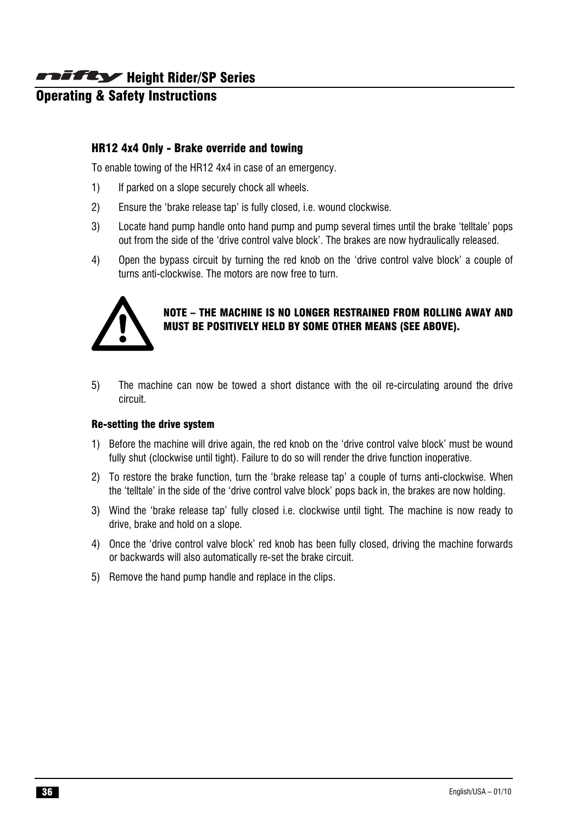# Operating & Safety Instructions

#### HR12 4x4 Only - Brake override and towing

To enable towing of the HR12 4x4 in case of an emergency.

- 1) If parked on a slope securely chock all wheels.
- 2) Ensure the 'brake release tap' is fully closed, i.e. wound clockwise.
- 3) Locate hand pump handle onto hand pump and pump several times until the brake 'telltale' pops out from the side of the 'drive control valve block'. The brakes are now hydraulically released.
- 4) Open the bypass circuit by turning the red knob on the 'drive control valve block' a couple of turns anti-clockwise. The motors are now free to turn.



#### NOTE – THE MACHINE IS NO LONGER RESTRAINED FROM ROLLING AWAY AND MUST BE POSITIVELY HELD BY SOME OTHER MEANS (SEE ABOVE).

5) The machine can now be towed a short distance with the oil re-circulating around the drive circuit.

#### Re-setting the drive system

- 1) Before the machine will drive again, the red knob on the 'drive control valve block' must be wound fully shut (clockwise until tight). Failure to do so will render the drive function inoperative.
- 2) To restore the brake function, turn the 'brake release tap' a couple of turns anti-clockwise. When the 'telltale' in the side of the 'drive control valve block' pops back in, the brakes are now holding.
- 3) Wind the 'brake release tap' fully closed i.e. clockwise until tight. The machine is now ready to drive, brake and hold on a slope.
- 4) Once the 'drive control valve block' red knob has been fully closed, driving the machine forwards or backwards will also automatically re-set the brake circuit.
- 5) Remove the hand pump handle and replace in the clips.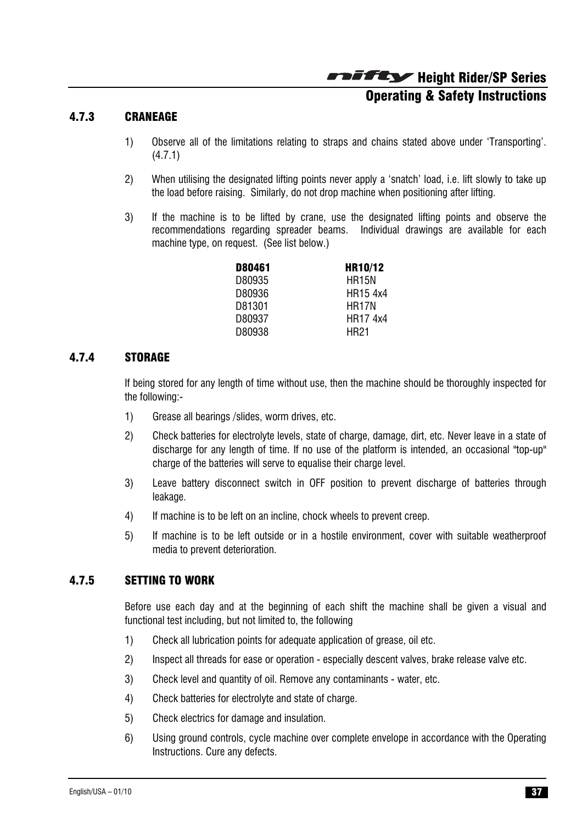Height Rider/SP Series Operating & Safety Instructions

#### 4.7.3 CRANEAGE

- 1) Observe all of the limitations relating to straps and chains stated above under 'Transporting'. (4.7.1)
- 2) When utilising the designated lifting points never apply a 'snatch' load, i.e. lift slowly to take up the load before raising. Similarly, do not drop machine when positioning after lifting.
- 3) If the machine is to be lifted by crane, use the designated lifting points and observe the recommendations regarding spreader beams. Individual drawings are available for each machine type, on request. (See list below.)

| D80461 | <b>HR10/12</b>     |
|--------|--------------------|
| D80935 | <b>HR15N</b>       |
| D80936 | HR15 4x4           |
| D81301 | HR <sub>17</sub> N |
| D80937 | HR17 4x4           |
| D80938 | HR21               |

#### 4.7.4 STORAGE

If being stored for any length of time without use, then the machine should be thoroughly inspected for the following:-

- 1) Grease all bearings /slides, worm drives, etc.
- 2) Check batteries for electrolyte levels, state of charge, damage, dirt, etc. Never leave in a state of discharge for any length of time. If no use of the platform is intended, an occasional "top-up" charge of the batteries will serve to equalise their charge level.
- 3) Leave battery disconnect switch in OFF position to prevent discharge of batteries through leakage.
- 4) If machine is to be left on an incline, chock wheels to prevent creep.
- 5) If machine is to be left outside or in a hostile environment, cover with suitable weatherproof media to prevent deterioration.

#### 4.7.5 SETTING TO WORK

Before use each day and at the beginning of each shift the machine shall be given a visual and functional test including, but not limited to, the following

- 1) Check all lubrication points for adequate application of grease, oil etc.
- 2) Inspect all threads for ease or operation especially descent valves, brake release valve etc.
- 3) Check level and quantity of oil. Remove any contaminants water, etc.
- 4) Check batteries for electrolyte and state of charge.
- 5) Check electrics for damage and insulation.
- 6) Using ground controls, cycle machine over complete envelope in accordance with the Operating Instructions. Cure any defects.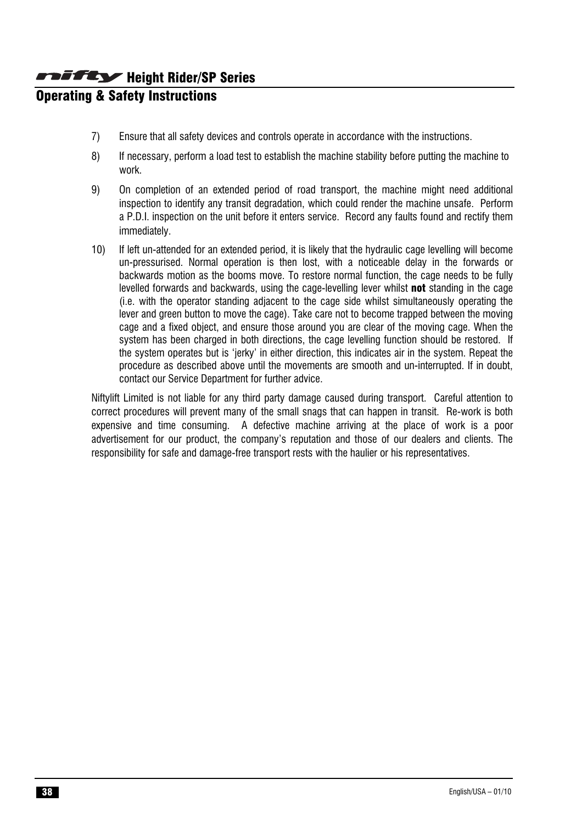# Operating & Safety Instructions

- 7) Ensure that all safety devices and controls operate in accordance with the instructions.
- 8) If necessary, perform a load test to establish the machine stability before putting the machine to work.
- 9) On completion of an extended period of road transport, the machine might need additional inspection to identify any transit degradation, which could render the machine unsafe. Perform a P.D.I. inspection on the unit before it enters service. Record any faults found and rectify them immediately.
- 10) If left un-attended for an extended period, it is likely that the hydraulic cage levelling will become un-pressurised. Normal operation is then lost, with a noticeable delay in the forwards or backwards motion as the booms move. To restore normal function, the cage needs to be fully levelled forwards and backwards, using the cage-levelling lever whilst **not** standing in the cage (i.e. with the operator standing adjacent to the cage side whilst simultaneously operating the lever and green button to move the cage). Take care not to become trapped between the moving cage and a fixed object, and ensure those around you are clear of the moving cage. When the system has been charged in both directions, the cage levelling function should be restored. If the system operates but is 'jerky' in either direction, this indicates air in the system. Repeat the procedure as described above until the movements are smooth and un-interrupted. If in doubt, contact our Service Department for further advice.

Niftylift Limited is not liable for any third party damage caused during transport. Careful attention to correct procedures will prevent many of the small snags that can happen in transit. Re-work is both expensive and time consuming. A defective machine arriving at the place of work is a poor advertisement for our product, the company's reputation and those of our dealers and clients. The responsibility for safe and damage-free transport rests with the haulier or his representatives.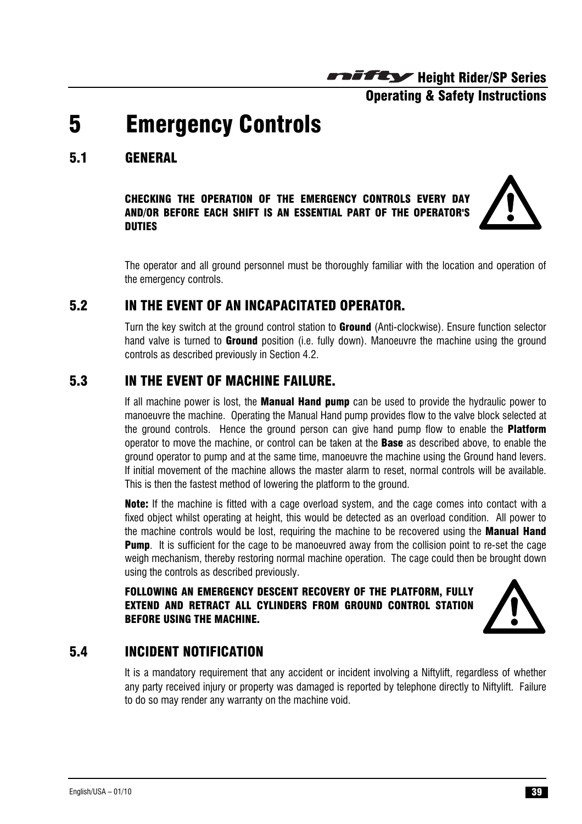Operating & Safety Instructions

# 5 Emergency Controls

# 5.1 GENERAL

CHECKING THE OPERATION OF THE EMERGENCY CONTROLS EVERY DAY AND/OR BEFORE EACH SHIFT IS AN ESSENTIAL PART OF THE OPERATOR'S DUTIES



The operator and all ground personnel must be thoroughly familiar with the location and operation of the emergency controls.

### 5.2 IN THE EVENT OF AN INCAPACITATED OPERATOR.

Turn the key switch at the ground control station to **Ground** (Anti-clockwise). Ensure function selector hand valve is turned to **Ground** position (i.e. fully down). Manoeuvre the machine using the ground controls as described previously in Section 4.2.

# 5.3 IN THE EVENT OF MACHINE FAILURE.

If all machine power is lost, the **Manual Hand pump** can be used to provide the hydraulic power to manoeuvre the machine. Operating the Manual Hand pump provides flow to the valve block selected at the ground controls. Hence the ground person can give hand pump flow to enable the **Platform** operator to move the machine, or control can be taken at the **Base** as described above, to enable the ground operator to pump and at the same time, manoeuvre the machine using the Ground hand levers. If initial movement of the machine allows the master alarm to reset, normal controls will be available. This is then the fastest method of lowering the platform to the ground.

**Note:** If the machine is fitted with a cage overload system, and the cage comes into contact with a fixed object whilst operating at height, this would be detected as an overload condition. All power to the machine controls would be lost, requiring the machine to be recovered using the **Manual Hand Pump.** It is sufficient for the cage to be manoeuvred away from the collision point to re-set the cage weigh mechanism, thereby restoring normal machine operation. The cage could then be brought down using the controls as described previously.

FOLLOWING AN EMERGENCY DESCENT RECOVERY OF THE PLATFORM, FULLY EXTEND AND RETRACT ALL CYLINDERS FROM GROUND CONTROL STATION BEFORE USING THE MACHINE.



# 5.4 INCIDENT NOTIFICATION

It is a mandatory requirement that any accident or incident involving a Niftylift, regardless of whether any party received injury or property was damaged is reported by telephone directly to Niftylift. Failure to do so may render any warranty on the machine void.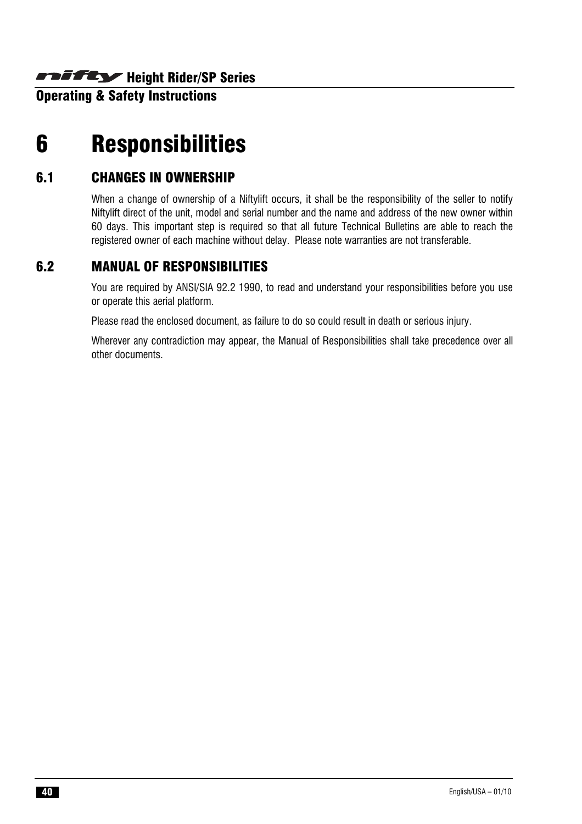**Operating & Safety Instructions** 

# 6 Responsibilities

#### 6.1 CHANGES IN OWNERSHIP

When a change of ownership of a Niftylift occurs, it shall be the responsibility of the seller to notify Niftylift direct of the unit, model and serial number and the name and address of the new owner within 60 days. This important step is required so that all future Technical Bulletins are able to reach the registered owner of each machine without delay. Please note warranties are not transferable.

# 6.2 MANUAL OF RESPONSIBILITIES

You are required by ANSI/SIA 92.2 1990, to read and understand your responsibilities before you use or operate this aerial platform.

Please read the enclosed document, as failure to do so could result in death or serious injury.

Wherever any contradiction may appear, the Manual of Responsibilities shall take precedence over all other documents.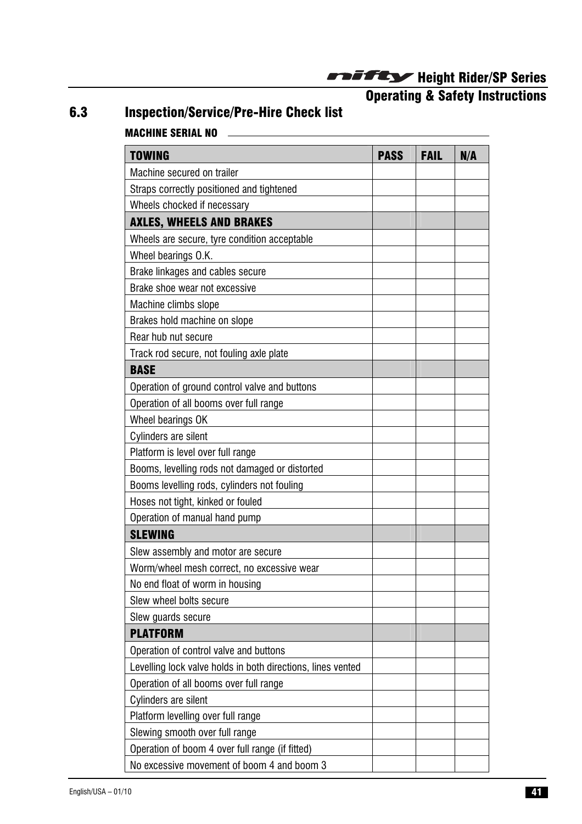**Operating & Safety Instructions** 

# 6.3 Inspection/Service/Pre-Hire Check list MACHINE SERIAL NO

| <b>TOWING</b>                                               | <b>PASS</b> | <b>FAIL</b> | N/A |
|-------------------------------------------------------------|-------------|-------------|-----|
| Machine secured on trailer                                  |             |             |     |
| Straps correctly positioned and tightened                   |             |             |     |
| Wheels chocked if necessary                                 |             |             |     |
| <b>AXLES, WHEELS AND BRAKES</b>                             |             |             |     |
| Wheels are secure, tyre condition acceptable                |             |             |     |
| Wheel bearings O.K.                                         |             |             |     |
| Brake linkages and cables secure                            |             |             |     |
| Brake shoe wear not excessive                               |             |             |     |
| Machine climbs slope                                        |             |             |     |
| Brakes hold machine on slope                                |             |             |     |
| Rear hub nut secure                                         |             |             |     |
| Track rod secure, not fouling axle plate                    |             |             |     |
| <b>BASE</b>                                                 |             |             |     |
| Operation of ground control valve and buttons               |             |             |     |
| Operation of all booms over full range                      |             |             |     |
| Wheel bearings OK                                           |             |             |     |
| <b>Cylinders are silent</b>                                 |             |             |     |
| Platform is level over full range                           |             |             |     |
| Booms, levelling rods not damaged or distorted              |             |             |     |
| Booms levelling rods, cylinders not fouling                 |             |             |     |
| Hoses not tight, kinked or fouled                           |             |             |     |
| Operation of manual hand pump                               |             |             |     |
| <b>SLEWING</b>                                              |             |             |     |
| Slew assembly and motor are secure                          |             |             |     |
| Worm/wheel mesh correct, no excessive wear                  |             |             |     |
| No end float of worm in housing                             |             |             |     |
| Slew wheel bolts secure                                     |             |             |     |
| Slew guards secure                                          |             |             |     |
| <b>PLATFORM</b>                                             |             |             |     |
| Operation of control valve and buttons                      |             |             |     |
| Levelling lock valve holds in both directions, lines vented |             |             |     |
| Operation of all booms over full range                      |             |             |     |
| Cylinders are silent                                        |             |             |     |
| Platform levelling over full range                          |             |             |     |
| Slewing smooth over full range                              |             |             |     |
| Operation of boom 4 over full range (if fitted)             |             |             |     |
| No excessive movement of boom 4 and boom 3                  |             |             |     |